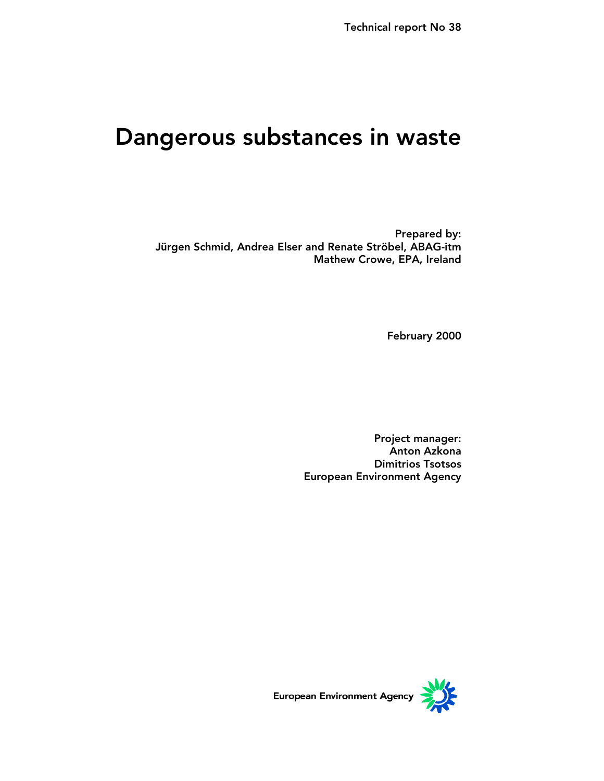# Dangerous substances in waste

Prepared by: Jürgen Schmid, Andrea Elser and Renate Ströbel, ABAG-itm Mathew Crowe, EPA, Ireland

February 2000

Project manager: Anton Azkona Dimitrios Tsotsos European Environment Agency

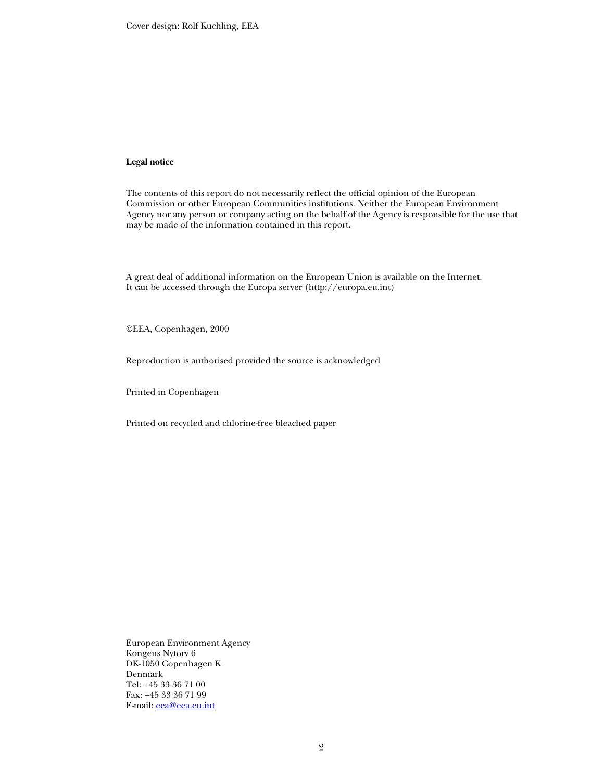Cover design: Rolf Kuchling, EEA

#### **Legal notice**

The contents of this report do not necessarily reflect the official opinion of the European Commission or other European Communities institutions. Neither the European Environment Agency nor any person or company acting on the behalf of the Agency is responsible for the use that may be made of the information contained in this report.

A great deal of additional information on the European Union is available on the Internet. It can be accessed through the Europa server (http://europa.eu.int)

©EEA, Copenhagen, 2000

Reproduction is authorised provided the source is acknowledged

Printed in Copenhagen

Printed on recycled and chlorine-free bleached paper

European Environment Agency Kongens Nytorv 6 DK-1050 Copenhagen K Denmark Tel: +45 33 36 71 00 Fax: +45 33 36 71 99 E-mail: eea@eea.eu.int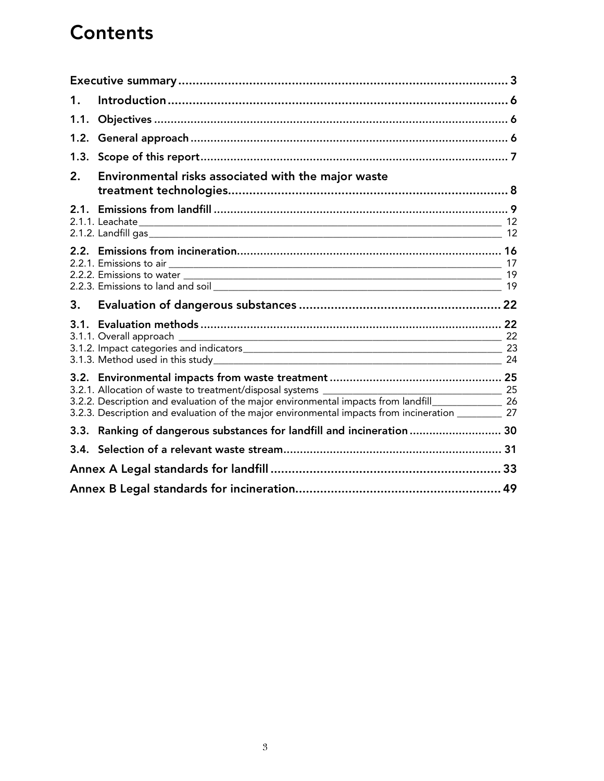# **Contents**

| $\mathbf 1$ . |                                                                                                                                                                                                              |  |
|---------------|--------------------------------------------------------------------------------------------------------------------------------------------------------------------------------------------------------------|--|
| 1.1.          |                                                                                                                                                                                                              |  |
| 1.2.          |                                                                                                                                                                                                              |  |
| 1.3.          |                                                                                                                                                                                                              |  |
| 2.            | Environmental risks associated with the major waste                                                                                                                                                          |  |
|               |                                                                                                                                                                                                              |  |
|               |                                                                                                                                                                                                              |  |
|               |                                                                                                                                                                                                              |  |
| 3.            |                                                                                                                                                                                                              |  |
|               |                                                                                                                                                                                                              |  |
|               | 3.2.2. Description and evaluation of the major environmental impacts from landfill________________ 26<br>3.2.3. Description and evaluation of the major environmental impacts from incineration _________ 27 |  |
|               | 3.3. Ranking of dangerous substances for landfill and incineration  30                                                                                                                                       |  |
|               |                                                                                                                                                                                                              |  |
|               |                                                                                                                                                                                                              |  |
|               |                                                                                                                                                                                                              |  |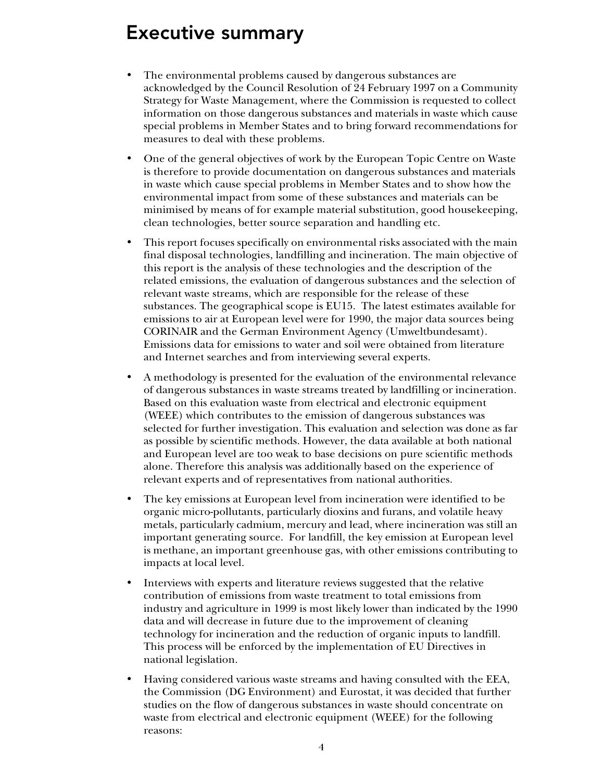# Executive summary

- The environmental problems caused by dangerous substances are acknowledged by the Council Resolution of 24 February 1997 on a Community Strategy for Waste Management, where the Commission is requested to collect information on those dangerous substances and materials in waste which cause special problems in Member States and to bring forward recommendations for measures to deal with these problems.
- One of the general objectives of work by the European Topic Centre on Waste is therefore to provide documentation on dangerous substances and materials in waste which cause special problems in Member States and to show how the environmental impact from some of these substances and materials can be minimised by means of for example material substitution, good housekeeping, clean technologies, better source separation and handling etc.
- This report focuses specifically on environmental risks associated with the main final disposal technologies, landfilling and incineration. The main objective of this report is the analysis of these technologies and the description of the related emissions, the evaluation of dangerous substances and the selection of relevant waste streams, which are responsible for the release of these substances. The geographical scope is EU15. The latest estimates available for emissions to air at European level were for 1990, the major data sources being CORINAIR and the German Environment Agency (Umweltbundesamt). Emissions data for emissions to water and soil were obtained from literature and Internet searches and from interviewing several experts.
- A methodology is presented for the evaluation of the environmental relevance of dangerous substances in waste streams treated by landfilling or incineration. Based on this evaluation waste from electrical and electronic equipment (WEEE) which contributes to the emission of dangerous substances was selected for further investigation. This evaluation and selection was done as far as possible by scientific methods. However, the data available at both national and European level are too weak to base decisions on pure scientific methods alone. Therefore this analysis was additionally based on the experience of relevant experts and of representatives from national authorities.
- The key emissions at European level from incineration were identified to be organic micro-pollutants, particularly dioxins and furans, and volatile heavy metals, particularly cadmium, mercury and lead, where incineration was still an important generating source. For landfill, the key emission at European level is methane, an important greenhouse gas, with other emissions contributing to impacts at local level.
- Interviews with experts and literature reviews suggested that the relative contribution of emissions from waste treatment to total emissions from industry and agriculture in 1999 is most likely lower than indicated by the 1990 data and will decrease in future due to the improvement of cleaning technology for incineration and the reduction of organic inputs to landfill. This process will be enforced by the implementation of EU Directives in national legislation.
- Having considered various waste streams and having consulted with the EEA, the Commission (DG Environment) and Eurostat, it was decided that further studies on the flow of dangerous substances in waste should concentrate on waste from electrical and electronic equipment (WEEE) for the following reasons: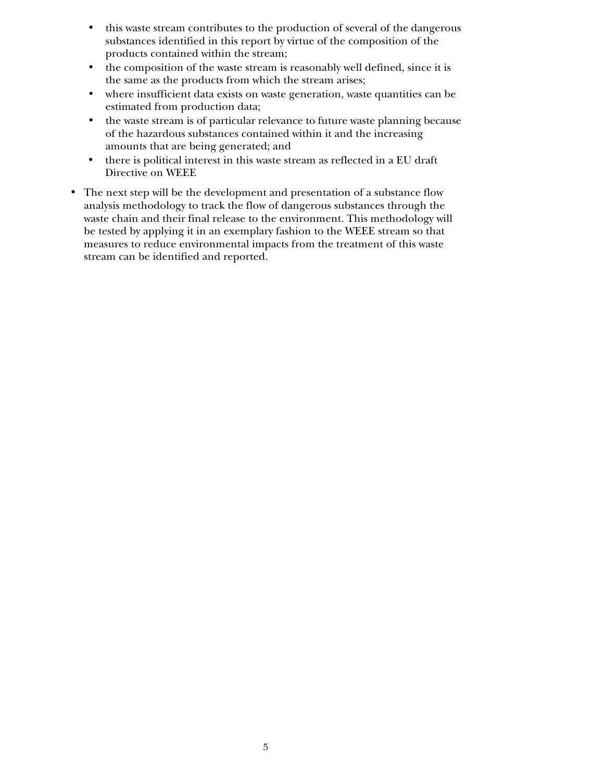- this waste stream contributes to the production of several of the dangerous substances identified in this report by virtue of the composition of the products contained within the stream;
- the composition of the waste stream is reasonably well defined, since it is the same as the products from which the stream arises;
- where insufficient data exists on waste generation, waste quantities can be estimated from production data;
- the waste stream is of particular relevance to future waste planning because of the hazardous substances contained within it and the increasing amounts that are being generated; and
- there is political interest in this waste stream as reflected in a EU draft Directive on WEEE
- The next step will be the development and presentation of a substance flow analysis methodology to track the flow of dangerous substances through the waste chain and their final release to the environment. This methodology will be tested by applying it in an exemplary fashion to the WEEE stream so that measures to reduce environmental impacts from the treatment of this waste stream can be identified and reported.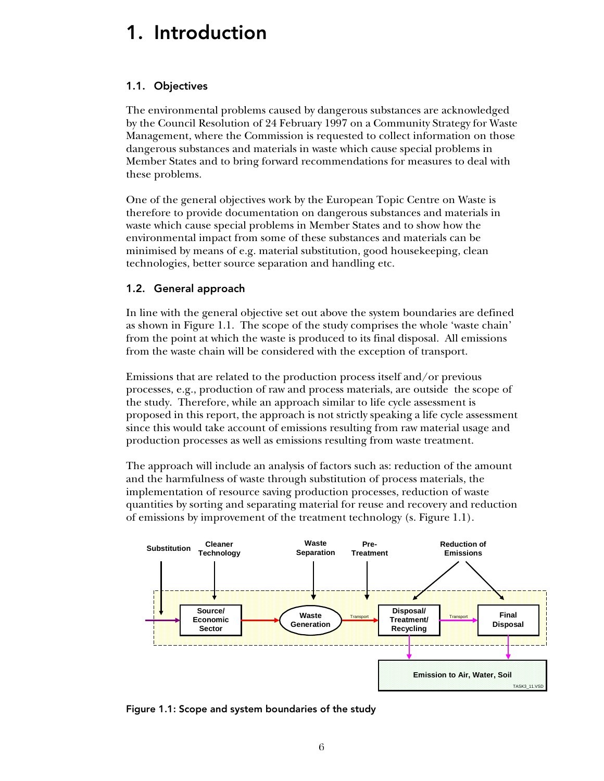# 1. Introduction

# 1.1. Objectives

The environmental problems caused by dangerous substances are acknowledged by the Council Resolution of 24 February 1997 on a Community Strategy for Waste Management, where the Commission is requested to collect information on those dangerous substances and materials in waste which cause special problems in Member States and to bring forward recommendations for measures to deal with these problems.

One of the general objectives work by the European Topic Centre on Waste is therefore to provide documentation on dangerous substances and materials in waste which cause special problems in Member States and to show how the environmental impact from some of these substances and materials can be minimised by means of e.g. material substitution, good housekeeping, clean technologies, better source separation and handling etc.

# 1.2. General approach

In line with the general objective set out above the system boundaries are defined as shown in Figure 1.1. The scope of the study comprises the whole 'waste chain' from the point at which the waste is produced to its final disposal. All emissions from the waste chain will be considered with the exception of transport.

Emissions that are related to the production process itself and/or previous processes, e.g., production of raw and process materials, are outside the scope of the study. Therefore, while an approach similar to life cycle assessment is proposed in this report, the approach is not strictly speaking a life cycle assessment since this would take account of emissions resulting from raw material usage and production processes as well as emissions resulting from waste treatment.

The approach will include an analysis of factors such as: reduction of the amount and the harmfulness of waste through substitution of process materials, the implementation of resource saving production processes, reduction of waste quantities by sorting and separating material for reuse and recovery and reduction of emissions by improvement of the treatment technology (s. Figure 1.1).



Figure 1.1: Scope and system boundaries of the study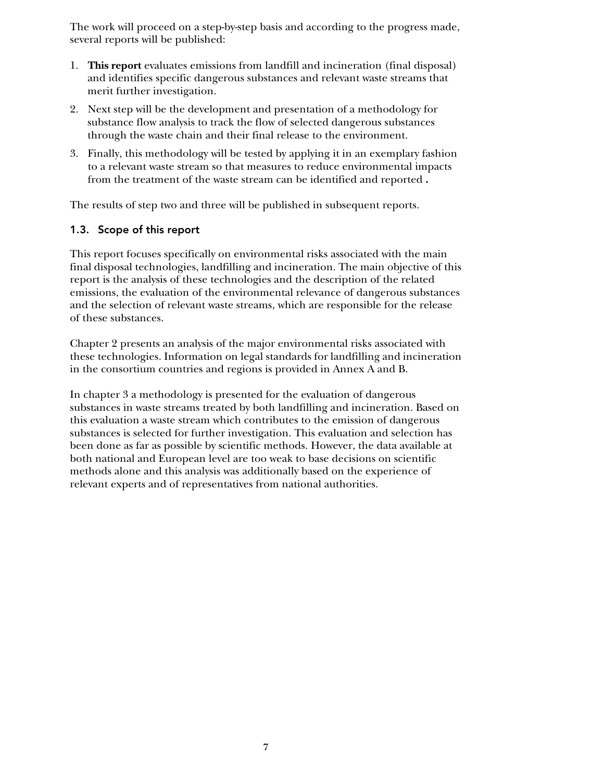The work will proceed on a step-by-step basis and according to the progress made, several reports will be published:

- 1. **This report** evaluates emissions from landfill and incineration (final disposal) and identifies specific dangerous substances and relevant waste streams that merit further investigation.
- 2. Next step will be the development and presentation of a methodology for substance flow analysis to track the flow of selected dangerous substances through the waste chain and their final release to the environment.
- 3. Finally, this methodology will be tested by applying it in an exemplary fashion to a relevant waste stream so that measures to reduce environmental impacts from the treatment of the waste stream can be identified and reported **.**

The results of step two and three will be published in subsequent reports.

# 1.3. Scope of this report

This report focuses specifically on environmental risks associated with the main final disposal technologies, landfilling and incineration. The main objective of this report is the analysis of these technologies and the description of the related emissions, the evaluation of the environmental relevance of dangerous substances and the selection of relevant waste streams, which are responsible for the release of these substances.

Chapter 2 presents an analysis of the major environmental risks associated with these technologies. Information on legal standards for landfilling and incineration in the consortium countries and regions is provided in Annex A and B.

In chapter 3 a methodology is presented for the evaluation of dangerous substances in waste streams treated by both landfilling and incineration. Based on this evaluation a waste stream which contributes to the emission of dangerous substances is selected for further investigation. This evaluation and selection has been done as far as possible by scientific methods. However, the data available at both national and European level are too weak to base decisions on scientific methods alone and this analysis was additionally based on the experience of relevant experts and of representatives from national authorities.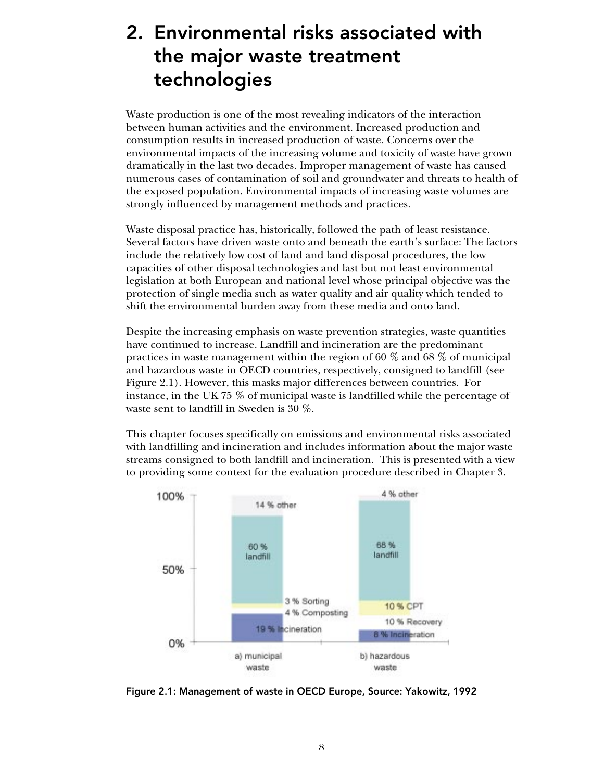# 2. Environmental risks associated with the major waste treatment technologies

Waste production is one of the most revealing indicators of the interaction between human activities and the environment. Increased production and consumption results in increased production of waste. Concerns over the environmental impacts of the increasing volume and toxicity of waste have grown dramatically in the last two decades. Improper management of waste has caused numerous cases of contamination of soil and groundwater and threats to health of the exposed population. Environmental impacts of increasing waste volumes are strongly influenced by management methods and practices.

Waste disposal practice has, historically, followed the path of least resistance. Several factors have driven waste onto and beneath the earth's surface: The factors include the relatively low cost of land and land disposal procedures, the low capacities of other disposal technologies and last but not least environmental legislation at both European and national level whose principal objective was the protection of single media such as water quality and air quality which tended to shift the environmental burden away from these media and onto land.

Despite the increasing emphasis on waste prevention strategies, waste quantities have continued to increase. Landfill and incineration are the predominant practices in waste management within the region of 60 % and 68 % of municipal and hazardous waste in OECD countries, respectively, consigned to landfill (see Figure 2.1). However, this masks major differences between countries. For instance, in the UK 75 % of municipal waste is landfilled while the percentage of waste sent to landfill in Sweden is 30 %.

This chapter focuses specifically on emissions and environmental risks associated with landfilling and incineration and includes information about the major waste streams consigned to both landfill and incineration. This is presented with a view to providing some context for the evaluation procedure described in Chapter 3.



Figure 2.1: Management of waste in OECD Europe, Source: Yakowitz, 1992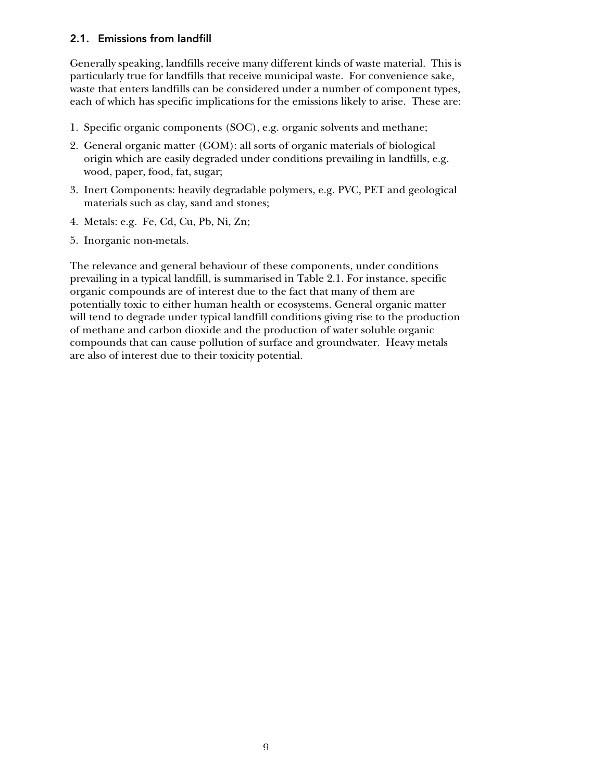## 2.1. Emissions from landfill

Generally speaking, landfills receive many different kinds of waste material. This is particularly true for landfills that receive municipal waste. For convenience sake, waste that enters landfills can be considered under a number of component types, each of which has specific implications for the emissions likely to arise. These are:

- 1. Specific organic components (SOC), e.g. organic solvents and methane;
- 2. General organic matter (GOM): all sorts of organic materials of biological origin which are easily degraded under conditions prevailing in landfills, e.g. wood, paper, food, fat, sugar;
- 3. Inert Components: heavily degradable polymers, e.g. PVC, PET and geological materials such as clay, sand and stones;
- 4. Metals: e.g. Fe, Cd, Cu, Pb, Ni, Zn;
- 5. Inorganic non-metals.

The relevance and general behaviour of these components, under conditions prevailing in a typical landfill, is summarised in Table 2.1. For instance, specific organic compounds are of interest due to the fact that many of them are potentially toxic to either human health or ecosystems. General organic matter will tend to degrade under typical landfill conditions giving rise to the production of methane and carbon dioxide and the production of water soluble organic compounds that can cause pollution of surface and groundwater. Heavy metals are also of interest due to their toxicity potential.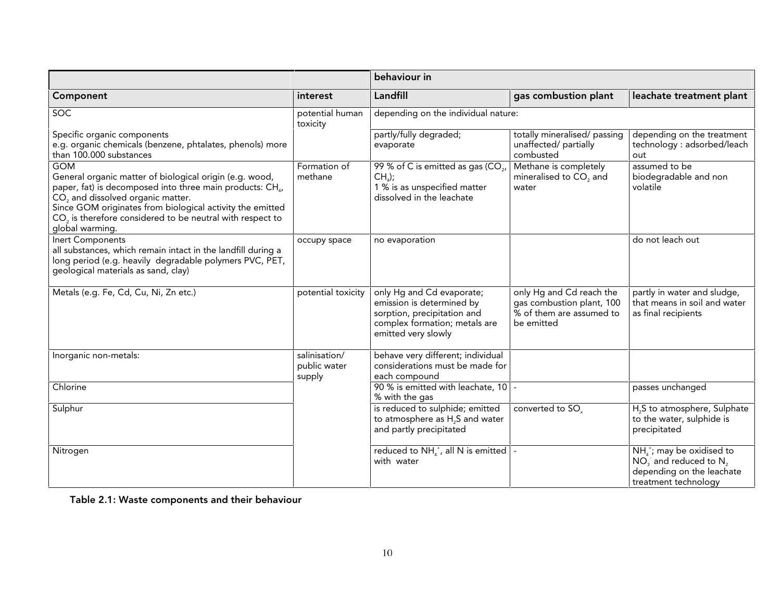|                                                                                                                                                                                                                                                                                                                                                          | interest                                | behaviour in                                                                                                                                  |                                                                                                 |                                                                                                              |  |  |
|----------------------------------------------------------------------------------------------------------------------------------------------------------------------------------------------------------------------------------------------------------------------------------------------------------------------------------------------------------|-----------------------------------------|-----------------------------------------------------------------------------------------------------------------------------------------------|-------------------------------------------------------------------------------------------------|--------------------------------------------------------------------------------------------------------------|--|--|
| Component                                                                                                                                                                                                                                                                                                                                                |                                         | Landfill                                                                                                                                      | gas combustion plant                                                                            | leachate treatment plant                                                                                     |  |  |
| <b>SOC</b>                                                                                                                                                                                                                                                                                                                                               | potential human<br>toxicity             | depending on the individual nature:                                                                                                           |                                                                                                 |                                                                                                              |  |  |
| Specific organic components<br>e.g. organic chemicals (benzene, phtalates, phenols) more<br>than 100.000 substances                                                                                                                                                                                                                                      |                                         | partly/fully degraded;<br>evaporate                                                                                                           | totally mineralised/ passing<br>unaffected/ partially<br>combusted                              | depending on the treatment<br>technology : adsorbed/leach<br>out                                             |  |  |
| <b>GOM</b><br>General organic matter of biological origin (e.g. wood,<br>paper, fat) is decomposed into three main products: CH <sub>4</sub> ,<br>CO <sub>2</sub> and dissolved organic matter.<br>Since GOM originates from biological activity the emitted<br>CO <sub>2</sub> is therefore considered to be neutral with respect to<br>global warming. | Formation of<br>methane                 | 99 % of C is emitted as gas (CO <sub>2</sub><br>$CHa)$ ;<br>1 % is as unspecified matter<br>dissolved in the leachate                         | Methane is completely<br>mineralised to CO <sub>2</sub> and<br>water                            | assumed to be<br>biodegradable and non<br>volatile                                                           |  |  |
| <b>Inert Components</b><br>all substances, which remain intact in the landfill during a<br>long period (e.g. heavily degradable polymers PVC, PET,<br>geological materials as sand, clay)                                                                                                                                                                | occupy space                            | no evaporation                                                                                                                                |                                                                                                 | do not leach out                                                                                             |  |  |
| Metals (e.g. Fe, Cd, Cu, Ni, Zn etc.)                                                                                                                                                                                                                                                                                                                    | potential toxicity                      | only Hg and Cd evaporate;<br>emission is determined by<br>sorption, precipitation and<br>complex formation; metals are<br>emitted very slowly | only Hg and Cd reach the<br>gas combustion plant, 100<br>% of them are assumed to<br>be emitted | partly in water and sludge,<br>that means in soil and water<br>as final recipients                           |  |  |
| Inorganic non-metals:                                                                                                                                                                                                                                                                                                                                    | salinisation/<br>public water<br>supply | behave very different; individual<br>considerations must be made for<br>each compound                                                         |                                                                                                 |                                                                                                              |  |  |
| Chlorine                                                                                                                                                                                                                                                                                                                                                 |                                         | 90 % is emitted with leachate, 10 -<br>% with the gas                                                                                         |                                                                                                 | passes unchanged                                                                                             |  |  |
| Sulphur                                                                                                                                                                                                                                                                                                                                                  |                                         | is reduced to sulphide; emitted<br>to atmosphere as H <sub>2</sub> S and water<br>and partly precipitated                                     | converted to SO.                                                                                | H <sub>2</sub> S to atmosphere, Sulphate<br>to the water, sulphide is<br>precipitated                        |  |  |
| Nitrogen                                                                                                                                                                                                                                                                                                                                                 |                                         | reduced to $NH_{4}^{+}$ , all N is emitted<br>with water                                                                                      |                                                                                                 | $NHa+;$ may be oxidised to<br>$NO3$ and reduced to $N2$<br>depending on the leachate<br>treatment technology |  |  |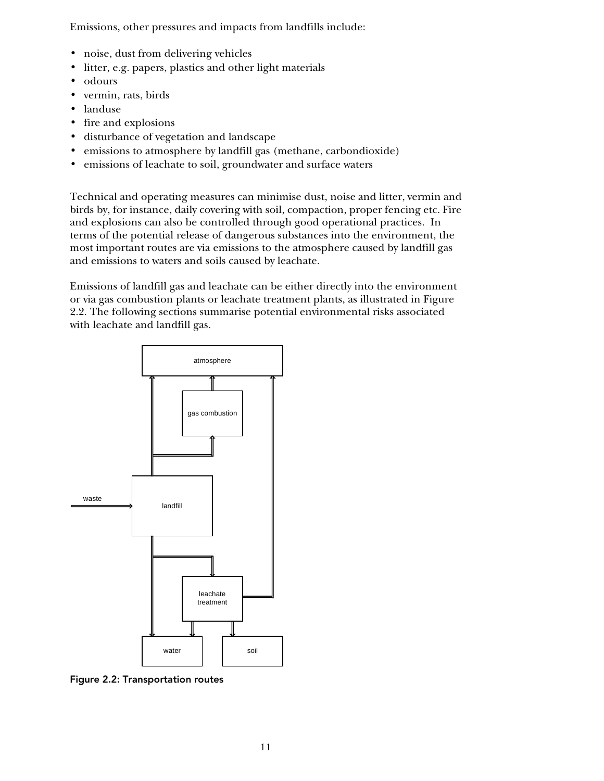Emissions, other pressures and impacts from landfills include:

- noise, dust from delivering vehicles
- litter, e.g. papers, plastics and other light materials
- odours
- vermin, rats, birds
- landuse
- fire and explosions
- disturbance of vegetation and landscape
- emissions to atmosphere by landfill gas (methane, carbondioxide)
- emissions of leachate to soil, groundwater and surface waters

Technical and operating measures can minimise dust, noise and litter, vermin and birds by, for instance, daily covering with soil, compaction, proper fencing etc. Fire and explosions can also be controlled through good operational practices. In terms of the potential release of dangerous substances into the environment, the most important routes are via emissions to the atmosphere caused by landfill gas and emissions to waters and soils caused by leachate.

Emissions of landfill gas and leachate can be either directly into the environment or via gas combustion plants or leachate treatment plants, as illustrated in Figure 2.2. The following sections summarise potential environmental risks associated with leachate and landfill gas.



Figure 2.2: Transportation routes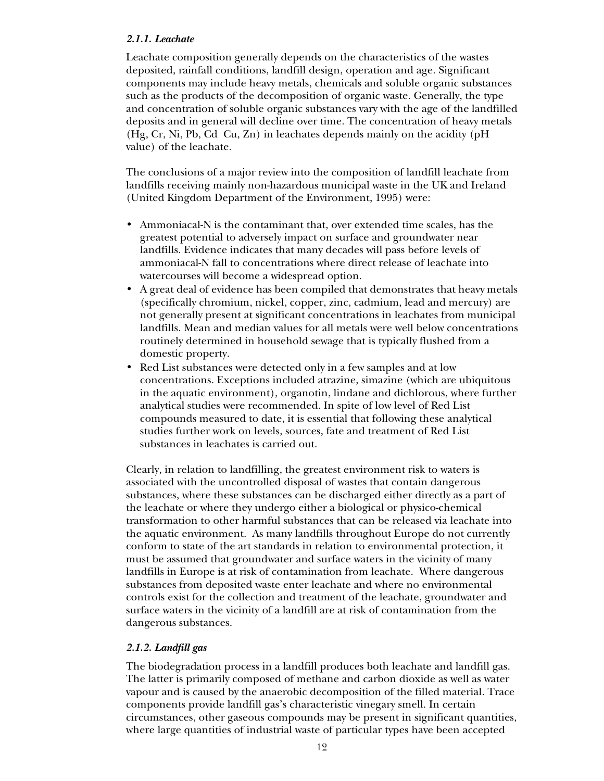## *2.1.1. Leachate*

Leachate composition generally depends on the characteristics of the wastes deposited, rainfall conditions, landfill design, operation and age. Significant components may include heavy metals, chemicals and soluble organic substances such as the products of the decomposition of organic waste. Generally, the type and concentration of soluble organic substances vary with the age of the landfilled deposits and in general will decline over time. The concentration of heavy metals (Hg, Cr, Ni, Pb, Cd Cu, Zn) in leachates depends mainly on the acidity (pH value) of the leachate.

The conclusions of a major review into the composition of landfill leachate from landfills receiving mainly non-hazardous municipal waste in the UK and Ireland (United Kingdom Department of the Environment, 1995) were:

- Ammoniacal-N is the contaminant that, over extended time scales, has the greatest potential to adversely impact on surface and groundwater near landfills. Evidence indicates that many decades will pass before levels of ammoniacal-N fall to concentrations where direct release of leachate into watercourses will become a widespread option.
- A great deal of evidence has been compiled that demonstrates that heavy metals (specifically chromium, nickel, copper, zinc, cadmium, lead and mercury) are not generally present at significant concentrations in leachates from municipal landfills. Mean and median values for all metals were well below concentrations routinely determined in household sewage that is typically flushed from a domestic property.
- Red List substances were detected only in a few samples and at low concentrations. Exceptions included atrazine, simazine (which are ubiquitous in the aquatic environment), organotin, lindane and dichlorous, where further analytical studies were recommended. In spite of low level of Red List compounds measured to date, it is essential that following these analytical studies further work on levels, sources, fate and treatment of Red List substances in leachates is carried out.

Clearly, in relation to landfilling, the greatest environment risk to waters is associated with the uncontrolled disposal of wastes that contain dangerous substances, where these substances can be discharged either directly as a part of the leachate or where they undergo either a biological or physico-chemical transformation to other harmful substances that can be released via leachate into the aquatic environment. As many landfills throughout Europe do not currently conform to state of the art standards in relation to environmental protection, it must be assumed that groundwater and surface waters in the vicinity of many landfills in Europe is at risk of contamination from leachate. Where dangerous substances from deposited waste enter leachate and where no environmental controls exist for the collection and treatment of the leachate, groundwater and surface waters in the vicinity of a landfill are at risk of contamination from the dangerous substances.

# *2.1.2. Landfill gas*

The biodegradation process in a landfill produces both leachate and landfill gas. The latter is primarily composed of methane and carbon dioxide as well as water vapour and is caused by the anaerobic decomposition of the filled material. Trace components provide landfill gas's characteristic vinegary smell. In certain circumstances, other gaseous compounds may be present in significant quantities, where large quantities of industrial waste of particular types have been accepted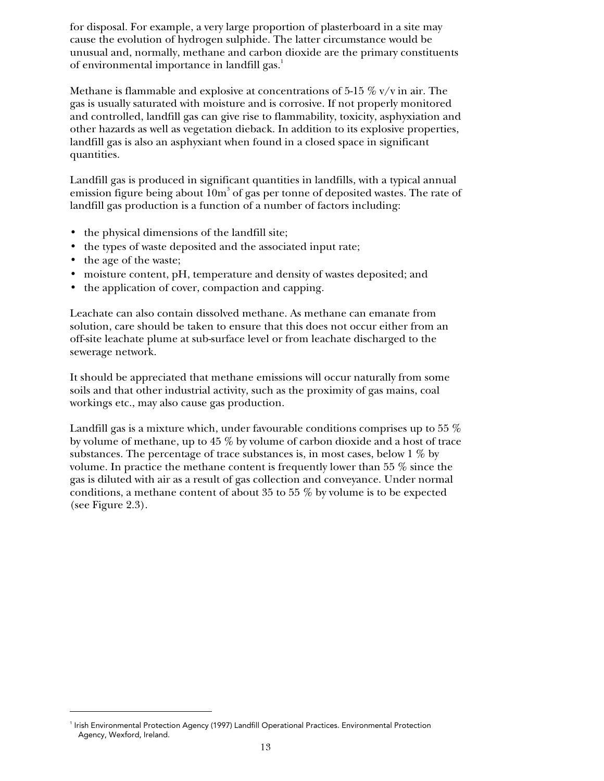for disposal. For example, a very large proportion of plasterboard in a site may cause the evolution of hydrogen sulphide. The latter circumstance would be unusual and, normally, methane and carbon dioxide are the primary constituents of environmental importance in landfill gas.<sup>1</sup>

Methane is flammable and explosive at concentrations of 5-15  $\%$  v/v in air. The gas is usually saturated with moisture and is corrosive. If not properly monitored and controlled, landfill gas can give rise to flammability, toxicity, asphyxiation and other hazards as well as vegetation dieback. In addition to its explosive properties, landfill gas is also an asphyxiant when found in a closed space in significant quantities.

Landfill gas is produced in significant quantities in landfills, with a typical annual emission figure being about  $10\mathrm{m}^3$  of gas per tonne of deposited wastes. The rate of landfill gas production is a function of a number of factors including:

- the physical dimensions of the landfill site;
- the types of waste deposited and the associated input rate;
- the age of the waste;

j

- moisture content, pH, temperature and density of wastes deposited; and
- the application of cover, compaction and capping.

Leachate can also contain dissolved methane. As methane can emanate from solution, care should be taken to ensure that this does not occur either from an off-site leachate plume at sub-surface level or from leachate discharged to the sewerage network.

It should be appreciated that methane emissions will occur naturally from some soils and that other industrial activity, such as the proximity of gas mains, coal workings etc., may also cause gas production.

Landfill gas is a mixture which, under favourable conditions comprises up to 55 % by volume of methane, up to 45 % by volume of carbon dioxide and a host of trace substances. The percentage of trace substances is, in most cases, below 1 % by volume. In practice the methane content is frequently lower than 55 % since the gas is diluted with air as a result of gas collection and conveyance. Under normal conditions, a methane content of about 35 to 55 % by volume is to be expected (see Figure 2.3).

Irish Environmental Protection Agency (1997) Landfill Operational Practices. Environmental Protection Agency, Wexford, Ireland.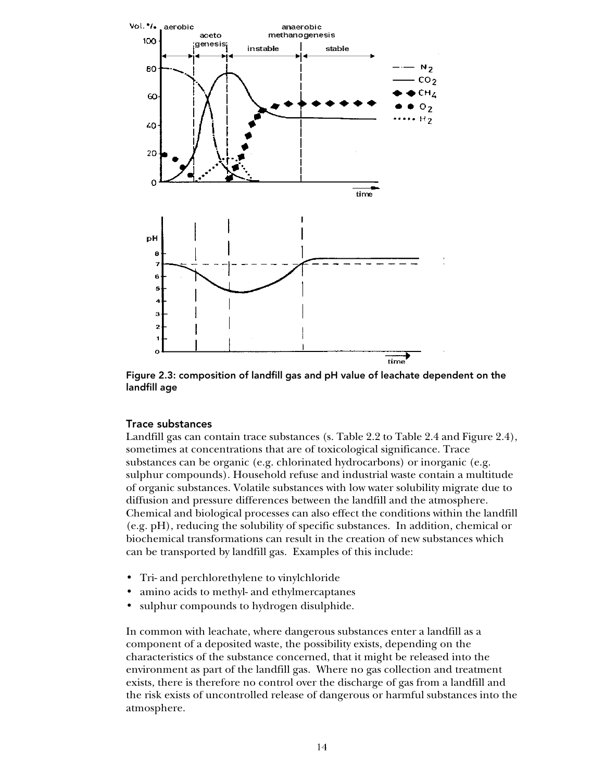

Figure 2.3: composition of landfill gas and pH value of leachate dependent on the landfill age

#### Trace substances

Landfill gas can contain trace substances (s. Table 2.2 to Table 2.4 and Figure 2.4), sometimes at concentrations that are of toxicological significance. Trace substances can be organic (e.g. chlorinated hydrocarbons) or inorganic (e.g. sulphur compounds). Household refuse and industrial waste contain a multitude of organic substances. Volatile substances with low water solubility migrate due to diffusion and pressure differences between the landfill and the atmosphere. Chemical and biological processes can also effect the conditions within the landfill (e.g. pH), reducing the solubility of specific substances. In addition, chemical or biochemical transformations can result in the creation of new substances which can be transported by landfill gas. Examples of this include:

- Tri- and perchlorethylene to vinylchloride
- amino acids to methyl- and ethylmercaptanes
- sulphur compounds to hydrogen disulphide.

In common with leachate, where dangerous substances enter a landfill as a component of a deposited waste, the possibility exists, depending on the characteristics of the substance concerned, that it might be released into the environment as part of the landfill gas. Where no gas collection and treatment exists, there is therefore no control over the discharge of gas from a landfill and the risk exists of uncontrolled release of dangerous or harmful substances into the atmosphere.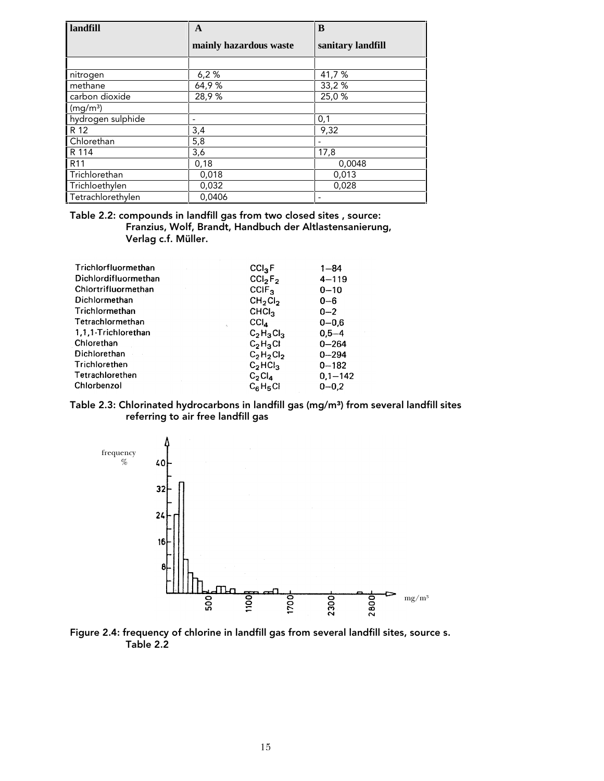| landfill             | $\mathbf{A}$             | B                 |
|----------------------|--------------------------|-------------------|
|                      | mainly hazardous waste   | sanitary landfill |
|                      |                          |                   |
| nitrogen             | 6,2%                     | 41,7 %            |
| methane              | 64,9%                    | 33,2%             |
| carbon dioxide       | 28,9%                    | 25,0%             |
| (mg/m <sup>3</sup> ) |                          |                   |
| hydrogen sulphide    | $\overline{\phantom{0}}$ | 0,1               |
| R 12                 | 3,4                      | 9,32              |
| Chlorethan           | 5,8                      |                   |
| R 114                | 3,6                      | 17,8              |
| R <sub>11</sub>      | 0,18                     | 0,0048            |
| Trichlorethan        | 0,018                    | 0,013             |
| Trichloethylen       | 0,032                    | 0,028             |
| Tetrachlorethylen    | 0.0406                   |                   |

Table 2.2: compounds in landfill gas from two closed sites , source: Franzius, Wolf, Brandt, Handbuch der Altlastensanierung, Verlag c.f. Müller.

| Trichlorfluormethan<br>Dichlordifluormethan | $CCl_{3}F$                                  | $1 - 84$              |
|---------------------------------------------|---------------------------------------------|-----------------------|
| Chlortrifluormethan                         | CCI <sub>2</sub> F <sub>2</sub><br>$CCIF_3$ | $4 - 119$<br>$0 - 10$ |
| Dichlormethan                               | CH <sub>2</sub> Cl <sub>2</sub>             | $0 - 6$               |
| Trichlormethan                              | CHCl <sub>3</sub>                           | $0 - 2$               |
| Tetrachlormethan<br>$\Delta$                | CCI <sub>A</sub>                            | $0 - 0.6$             |
| 1.1.1-Trichlorethan                         | $C_2H_3Cl_3$                                | $0.5 - 4$             |
| Chlorethan                                  | $C_2H_3Cl$                                  | $0 - 264$             |
| Dichlorethan                                | $C_2H_2Cl_2$                                | $0 - 294$             |
| Trichlorethen                               | C <sub>2</sub> HCl <sub>3</sub>             | $0 - 182$             |
| Tetrachlorethen                             | $C_2Cl_4$                                   | $0.1 - 142$           |
| Chlorbenzol                                 | $C_6H_5Cl$                                  | $0 - 0.2$             |

#### Table 2.3: Chlorinated hydrocarbons in landfill gas (mg/m<sup>3</sup>) from several landfill sites referring to air free landfill gas



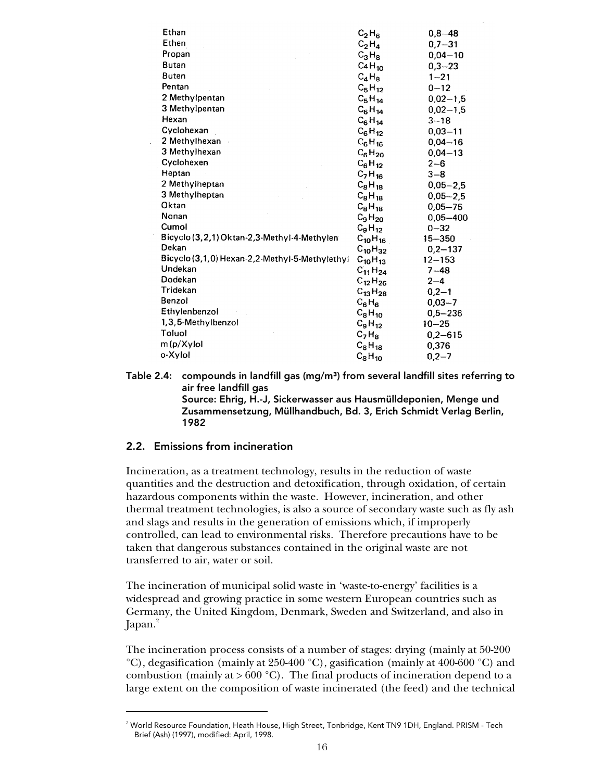| Ethan                                          | $C_2H_6$                       | $0,8 - 48$   |
|------------------------------------------------|--------------------------------|--------------|
| Ethen                                          | $C_2H_4$                       | $0,7 - 31$   |
| Propan                                         | $C_3H_8$                       | $0,04 - 10$  |
| Butan                                          | C <sub>4</sub> H <sub>10</sub> | $0,3 - 23$   |
| <b>Buten</b>                                   | $C_4H_8$                       | $1 - 21$     |
| Pentan                                         | $C_5H_{12}$                    | $0 - 12$     |
| 2 Methylpentan                                 | $C_5H_{14}$                    | $0,02 - 1,5$ |
| 3 Methylpentan                                 | $C_6H_{14}$                    | $0,02 - 1,5$ |
| Hexan                                          | $C_6H_{14}$                    | $3 - 18$     |
| Cyclohexan                                     | $C_6H_{12}$                    | $0.03 - 11$  |
| 2 Methylhexan                                  | $C_6H_{16}$                    | $0,04 - 16$  |
| 3 Methylhexan                                  | $C_6H_{20}$                    | $0,04 - 13$  |
| Cyclohexen                                     | $C_6H_{12}$                    | $2 - 6$      |
| Heptan                                         | $C_7H_{16}$                    | $3 - 8$      |
| 2 Methylheptan                                 | $C_8H_{18}$                    | $0.05 - 2.5$ |
| 3 Methylheptan                                 | $C_8H_{18}$                    | $0,05 - 2,5$ |
| Oktan                                          | $C_8H_{18}$                    | $0,05 - 75$  |
| Nonan                                          | $C_9H_{20}$                    | $0.05 - 400$ |
| Cumol                                          | $C_9H_{12}$                    | $0 - 32$     |
| Bicyclo (3,2,1) Oktan-2,3-Methyl-4-Methylen    | $C_{10}H_{16}$                 | 15-350       |
| Dekan                                          | $C_{10}H_{32}$                 | $0,2 - 137$  |
| Bicyclo (3,1,0) Hexan-2,2-Methyl-5-Methylethyl | $C_{10}H_{13}$                 | $12 - 153$   |
| Undekan                                        | $C_{11}H_{24}$                 | $7 - 48$     |
| Dodekan                                        | $C_{12}H_{26}$                 | $2 - 4$      |
| Tridekan                                       | $C_{13}H_{28}$                 | $0,2 - 1$    |
| Benzol                                         | $C_6H_6$                       | $0,03 - 7$   |
| Ethylenbenzol                                  | $C_8H_{10}$                    | $0,5 - 236$  |
| 1,3,5-Methylbenzol                             | $C_9H_{12}$                    | $10 - 25$    |
| Toluol                                         | $C_7H_8$                       | $0,2 - 615$  |
| m(p/Xylol                                      | $C_8H_{18}$                    | 0,376        |
| o-Xylol                                        | $C_8H_{10}$                    | $0,2 - 7$    |

Table 2.4: compounds in landfill gas  $(mg/m<sup>3</sup>)$  from several landfill sites referring to air free landfill gas Source: Ehrig, H.-J, Sickerwasser aus Hausmülldeponien, Menge und Zusammensetzung, Müllhandbuch, Bd. 3, Erich Schmidt Verlag Berlin, 1982

### 2.2. Emissions from incineration

-

Incineration, as a treatment technology, results in the reduction of waste quantities and the destruction and detoxification, through oxidation, of certain hazardous components within the waste. However, incineration, and other thermal treatment technologies, is also a source of secondary waste such as fly ash and slags and results in the generation of emissions which, if improperly controlled, can lead to environmental risks. Therefore precautions have to be taken that dangerous substances contained in the original waste are not transferred to air, water or soil.

The incineration of municipal solid waste in 'waste-to-energy' facilities is a widespread and growing practice in some western European countries such as Germany, the United Kingdom, Denmark, Sweden and Switzerland, and also in Japan. $^{2}$ 

The incineration process consists of a number of stages: drying (mainly at 50-200 °C), degasification (mainly at 250-400 °C), gasification (mainly at 400-600 °C) and combustion (mainly at  $> 600 °C$ ). The final products of incineration depend to a large extent on the composition of waste incinerated (the feed) and the technical

 $^{\rm 2}$  World Resource Foundation, Heath House, High Street, Tonbridge, Kent TN9 1DH, England. PRISM - Tech Brief (Ash) (1997), modified: April, 1998.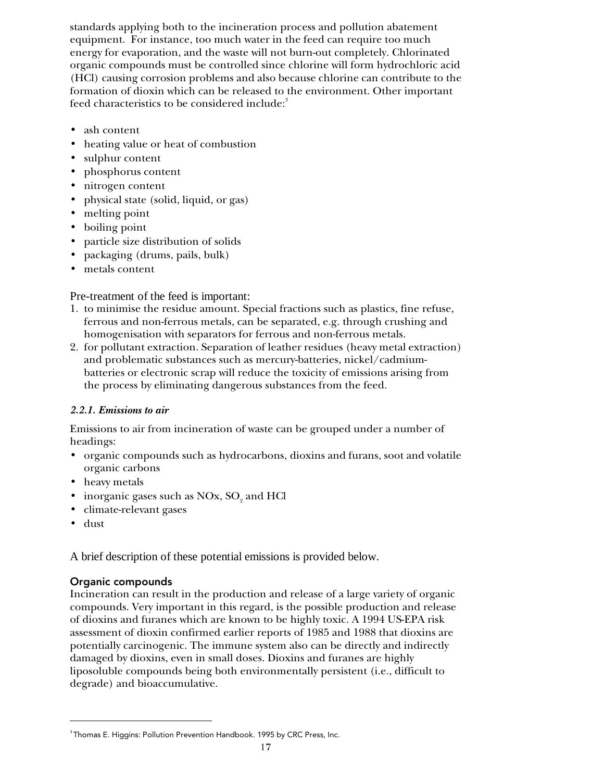standards applying both to the incineration process and pollution abatement equipment. For instance, too much water in the feed can require too much energy for evaporation, and the waste will not burn-out completely. Chlorinated organic compounds must be controlled since chlorine will form hydrochloric acid (HCl) causing corrosion problems and also because chlorine can contribute to the formation of dioxin which can be released to the environment. Other important feed characteristics to be considered include:<sup>3</sup>

- ash content
- heating value or heat of combustion
- sulphur content
- phosphorus content
- nitrogen content
- physical state (solid, liquid, or gas)
- melting point
- boiling point
- particle size distribution of solids
- packaging (drums, pails, bulk)
- metals content

Pre-treatment of the feed is important:

- 1. to minimise the residue amount. Special fractions such as plastics, fine refuse, ferrous and non-ferrous metals, can be separated, e.g. through crushing and homogenisation with separators for ferrous and non-ferrous metals.
- 2. for pollutant extraction. Separation of leather residues (heavy metal extraction) and problematic substances such as mercury-batteries, nickel/cadmiumbatteries or electronic scrap will reduce the toxicity of emissions arising from the process by eliminating dangerous substances from the feed.

# *2.2.1. Emissions to air*

Emissions to air from incineration of waste can be grouped under a number of headings:

- organic compounds such as hydrocarbons, dioxins and furans, soot and volatile organic carbons
- heavy metals
- inorganic gases such as  $\mathrm{NOx}, \mathrm{SO}_2$  and  $\mathrm{HCl}$
- climate-relevant gases
- dust

j

A brief description of these potential emissions is provided below.

# Organic compounds

Incineration can result in the production and release of a large variety of organic compounds. Very important in this regard, is the possible production and release of dioxins and furanes which are known to be highly toxic. A 1994 US-EPA risk assessment of dioxin confirmed earlier reports of 1985 and 1988 that dioxins are potentially carcinogenic. The immune system also can be directly and indirectly damaged by dioxins, even in small doses. Dioxins and furanes are highly liposoluble compounds being both environmentally persistent (i.e., difficult to degrade) and bioaccumulative.

<sup>&</sup>lt;sup>3</sup> Thomas E. Higgins: Pollution Prevention Handbook. 1995 by CRC Press, Inc.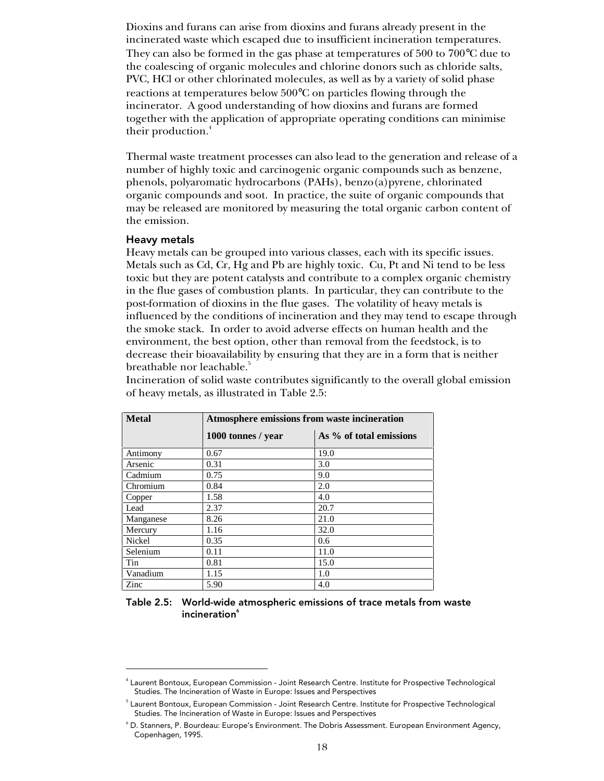Dioxins and furans can arise from dioxins and furans already present in the incinerated waste which escaped due to insufficient incineration temperatures. They can also be formed in the gas phase at temperatures of 500 to 700°C due to the coalescing of organic molecules and chlorine donors such as chloride salts, PVC, HCl or other chlorinated molecules, as well as by a variety of solid phase reactions at temperatures below 500°C on particles flowing through the incinerator. A good understanding of how dioxins and furans are formed together with the application of appropriate operating conditions can minimise their production.<sup>4</sup>

Thermal waste treatment processes can also lead to the generation and release of a number of highly toxic and carcinogenic organic compounds such as benzene, phenols, polyaromatic hydrocarbons (PAHs), benzo(a)pyrene, chlorinated organic compounds and soot. In practice, the suite of organic compounds that may be released are monitored by measuring the total organic carbon content of the emission.

#### Heavy metals

<sup>-</sup>

Heavy metals can be grouped into various classes, each with its specific issues. Metals such as Cd, Cr, Hg and Pb are highly toxic. Cu, Pt and Ni tend to be less toxic but they are potent catalysts and contribute to a complex organic chemistry in the flue gases of combustion plants. In particular, they can contribute to the post-formation of dioxins in the flue gases. The volatility of heavy metals is influenced by the conditions of incineration and they may tend to escape through the smoke stack. In order to avoid adverse effects on human health and the environment, the best option, other than removal from the feedstock, is to decrease their bioavailability by ensuring that they are in a form that is neither breathable nor leachable.<sup>5</sup>

Incineration of solid waste contributes significantly to the overall global emission of heavy metals, as illustrated in Table 2.5:

| <b>Metal</b> | Atmosphere emissions from waste incineration |                         |  |  |  |  |
|--------------|----------------------------------------------|-------------------------|--|--|--|--|
|              | 1000 tonnes / year                           | As % of total emissions |  |  |  |  |
| Antimony     | 0.67                                         | 19.0                    |  |  |  |  |
| Arsenic      | 0.31                                         | 3.0                     |  |  |  |  |
| Cadmium      | 0.75                                         | 9.0                     |  |  |  |  |
| Chromium     | 0.84                                         | 2.0                     |  |  |  |  |
| Copper       | 1.58                                         | 4.0                     |  |  |  |  |
| Lead         | 2.37                                         | 20.7                    |  |  |  |  |
| Manganese    | 8.26                                         | 21.0                    |  |  |  |  |
| Mercury      | 1.16                                         | 32.0                    |  |  |  |  |
| Nickel       | 0.35                                         | 0.6                     |  |  |  |  |
| Selenium     | 0.11                                         | 11.0                    |  |  |  |  |
| Tin          | 0.81                                         | 15.0                    |  |  |  |  |
| Vanadium     | 1.15                                         | 1.0                     |  |  |  |  |
| Zinc         | 5.90                                         | 4.0                     |  |  |  |  |

Table 2.5: World-wide atmospheric emissions of trace metals from waste incineration<sup>6</sup>

<sup>4</sup> Laurent Bontoux, European Commission - Joint Research Centre. Institute for Prospective Technological Studies. The Incineration of Waste in Europe: Issues and Perspectives

 $^{\rm 5}$  Laurent Bontoux, European Commission - Joint Research Centre. Institute for Prospective Technological Studies. The Incineration of Waste in Europe: Issues and Perspectives

<sup>6</sup> D. Stanners, P. Bourdeau: Europe's Environment. The Dobris Assessment. European Environment Agency, Copenhagen, 1995.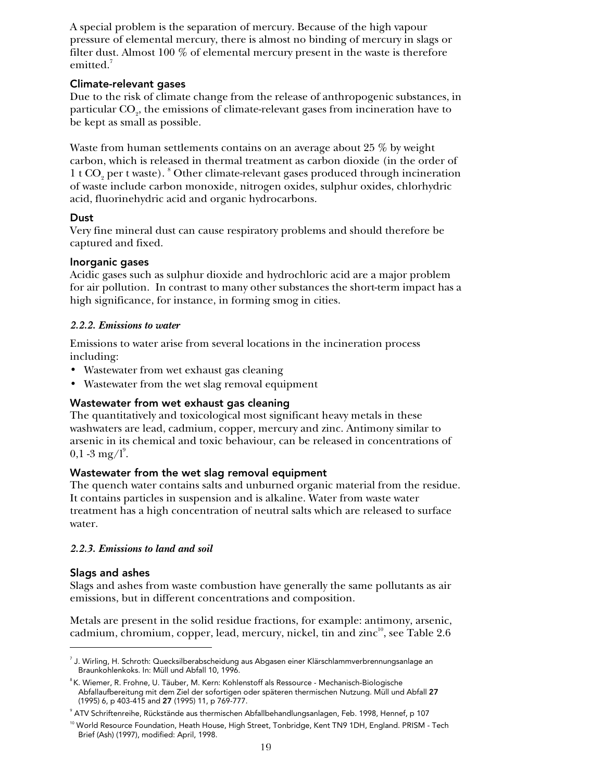A special problem is the separation of mercury. Because of the high vapour pressure of elemental mercury, there is almost no binding of mercury in slags or filter dust. Almost 100 % of elemental mercury present in the waste is therefore emitted.<sup>7</sup>

## Climate-relevant gases

Due to the risk of climate change from the release of anthropogenic substances, in particular CO<sub>2</sub>, the emissions of climate-relevant gases from incineration have to be kept as small as possible.

Waste from human settlements contains on an average about 25 % by weight carbon, which is released in thermal treatment as carbon dioxide (in the order of 1 t CO<sub>2</sub> per t waste). <sup>8</sup> Other climate-relevant gases produced through incineration of waste include carbon monoxide, nitrogen oxides, sulphur oxides, chlorhydric acid, fluorinehydric acid and organic hydrocarbons.

# Dust

Very fine mineral dust can cause respiratory problems and should therefore be captured and fixed.

## Inorganic gases

Acidic gases such as sulphur dioxide and hydrochloric acid are a major problem for air pollution. In contrast to many other substances the short-term impact has a high significance, for instance, in forming smog in cities.

## *2.2.2. Emissions to water*

Emissions to water arise from several locations in the incineration process including:

- Wastewater from wet exhaust gas cleaning
- Wastewater from the wet slag removal equipment

# Wastewater from wet exhaust gas cleaning

The quantitatively and toxicological most significant heavy metals in these washwaters are lead, cadmium, copper, mercury and zinc. Antimony similar to arsenic in its chemical and toxic behaviour, can be released in concentrations of  $0,1$  -3 mg/l<sup>9</sup>.

# Wastewater from the wet slag removal equipment

The quench water contains salts and unburned organic material from the residue. It contains particles in suspension and is alkaline. Water from waste water treatment has a high concentration of neutral salts which are released to surface water.

### *2.2.3. Emissions to land and soil*

# Slags and ashes

j

Slags and ashes from waste combustion have generally the same pollutants as air emissions, but in different concentrations and composition.

Metals are present in the solid residue fractions, for example: antimony, arsenic, cadmium, chromium, copper, lead, mercury, nickel, tin and zinc<sup>10</sup>, see Table 2.6

<sup>7</sup> J. Wirling, H. Schroth: Quecksilberabscheidung aus Abgasen einer Klärschlammverbrennungsanlage an Braunkohlenkoks. In: Müll und Abfall 10, 1996.

<sup>8</sup> K. Wiemer, R. Frohne, U. Täuber, M. Kern: Kohlenstoff als Ressource - Mechanisch-Biologische Abfallaufbereitung mit dem Ziel der sofortigen oder späteren thermischen Nutzung. Müll und Abfall 27 (1995) 6, p 403-415 and 27 (1995) 11, p 769-777.

 $^\circ$  ATV Schriftenreihe, Rückstände aus thermischen Abfallbehandlungsanlagen, Feb. 1998, Hennef, p 107

<sup>&</sup>lt;sup>10</sup> World Resource Foundation, Heath House, High Street, Tonbridge, Kent TN9 1DH, England. PRISM - Tech Brief (Ash) (1997), modified: April, 1998.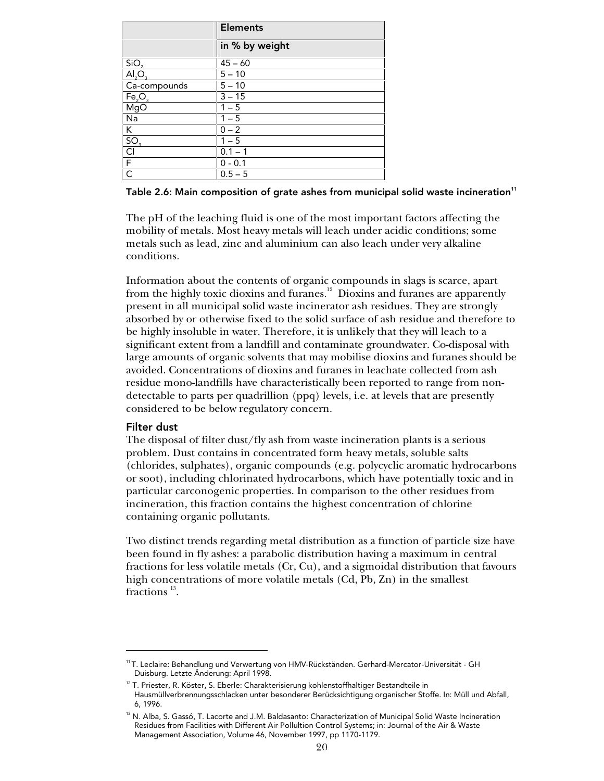|                                                              | <b>Elements</b>      |
|--------------------------------------------------------------|----------------------|
|                                                              | in % by weight       |
| SiO <sub>2</sub>                                             | $45 - 60$            |
| $\overline{AI_2O_3}$                                         | $5 - 10$             |
| Ca-compounds                                                 | $5 - 10$             |
| Fe <sub>2</sub> O <sub>3</sub>                               | $3 - 15$             |
| MgO                                                          | $1 - 5$              |
| Na                                                           | $1 - 5$              |
| $\overline{\mathsf{K}}$                                      | $0 - 2$              |
|                                                              | $1 - 5$              |
|                                                              | $\overline{0.1} - 1$ |
| $\frac{\overline{SO_3}}{\frac{\overline{CI}}{\overline{F}}}$ | $\overline{0}$ - 0.1 |
| $\overline{\mathsf{C}}$                                      | $0.5 - 5$            |

Table 2.6: Main composition of grate ashes from municipal solid waste incineration<sup>11</sup>

The pH of the leaching fluid is one of the most important factors affecting the mobility of metals. Most heavy metals will leach under acidic conditions; some metals such as lead, zinc and aluminium can also leach under very alkaline conditions.

Information about the contents of organic compounds in slags is scarce, apart from the highly toxic dioxins and furanes.12 Dioxins and furanes are apparently present in all municipal solid waste incinerator ash residues. They are strongly absorbed by or otherwise fixed to the solid surface of ash residue and therefore to be highly insoluble in water. Therefore, it is unlikely that they will leach to a significant extent from a landfill and contaminate groundwater. Co-disposal with large amounts of organic solvents that may mobilise dioxins and furanes should be avoided. Concentrations of dioxins and furanes in leachate collected from ash residue mono-landfills have characteristically been reported to range from nondetectable to parts per quadrillion (ppq) levels, i.e. at levels that are presently considered to be below regulatory concern.

#### Filter dust

<sup>-</sup>

The disposal of filter dust/fly ash from waste incineration plants is a serious problem. Dust contains in concentrated form heavy metals, soluble salts (chlorides, sulphates), organic compounds (e.g. polycyclic aromatic hydrocarbons or soot), including chlorinated hydrocarbons, which have potentially toxic and in particular carconogenic properties. In comparison to the other residues from incineration, this fraction contains the highest concentration of chlorine containing organic pollutants.

Two distinct trends regarding metal distribution as a function of particle size have been found in fly ashes: a parabolic distribution having a maximum in central fractions for less volatile metals (Cr, Cu), and a sigmoidal distribution that favours high concentrations of more volatile metals (Cd, Pb, Zn) in the smallest fractions  $^{13}$ .

<sup>11</sup> T. Leclaire: Behandlung und Verwertung von HMV-Rückständen. Gerhard-Mercator-Universität - GH Duisburg. Letzte Änderung: April 1998.

 $^{12}$ T. Priester, R. Köster, S. Eberle: Charakterisierung kohlenstoffhaltiger Bestandteile in Hausmüllverbrennungsschlacken unter besonderer Berücksichtigung organischer Stoffe. In: Müll und Abfall, 6, 1996.

<sup>&</sup>lt;sup>13</sup> N. Alba, S. Gassó, T. Lacorte and J.M. Baldasanto: Characterization of Municipal Solid Waste Incineration Residues from Facilities with Different Air Pollultion Control Systems; in: Journal of the Air & Waste Management Association, Volume 46, November 1997, pp 1170-1179.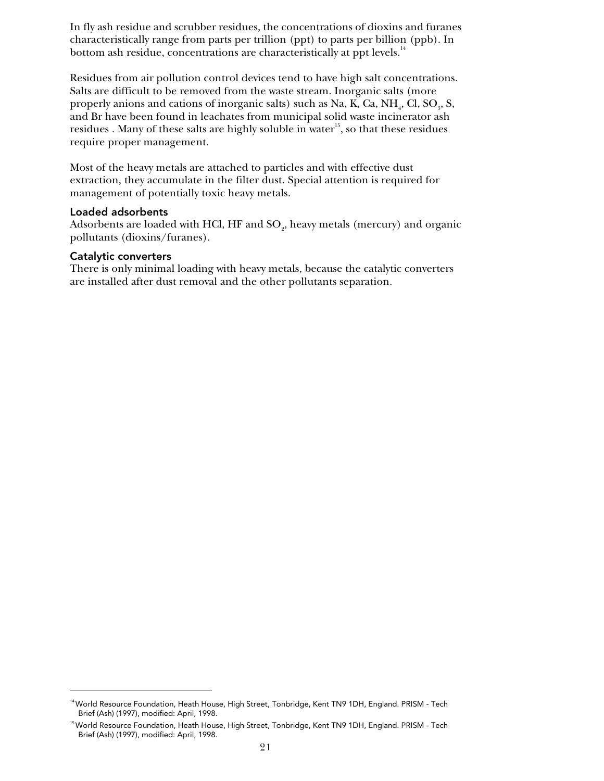In fly ash residue and scrubber residues, the concentrations of dioxins and furanes characteristically range from parts per trillion (ppt) to parts per billion (ppb). In bottom ash residue, concentrations are characteristically at ppt levels.<sup>14</sup>

Residues from air pollution control devices tend to have high salt concentrations. Salts are difficult to be removed from the waste stream. Inorganic salts (more properly anions and cations of inorganic salts) such as Na, K, Ca, NH<sub>4</sub>, Cl, SO<sub>3</sub>, S, and Br have been found in leachates from municipal solid waste incinerator ash residues . Many of these salts are highly soluble in water<sup>15</sup>, so that these residues require proper management.

Most of the heavy metals are attached to particles and with effective dust extraction, they accumulate in the filter dust. Special attention is required for management of potentially toxic heavy metals.

#### Loaded adsorbents

Adsorbents are loaded with HCl, HF and  $\mathrm{SO}_2$ , heavy metals (mercury) and organic pollutants (dioxins/furanes).

#### Catalytic converters

1

There is only minimal loading with heavy metals, because the catalytic converters are installed after dust removal and the other pollutants separation.

<sup>&</sup>lt;sup>14</sup> World Resource Foundation, Heath House, High Street, Tonbridge, Kent TN9 1DH, England. PRISM - Tech Brief (Ash) (1997), modified: April, 1998.

<sup>&</sup>lt;sup>15</sup> World Resource Foundation, Heath House, High Street, Tonbridge, Kent TN9 1DH, England. PRISM - Tech Brief (Ash) (1997), modified: April, 1998.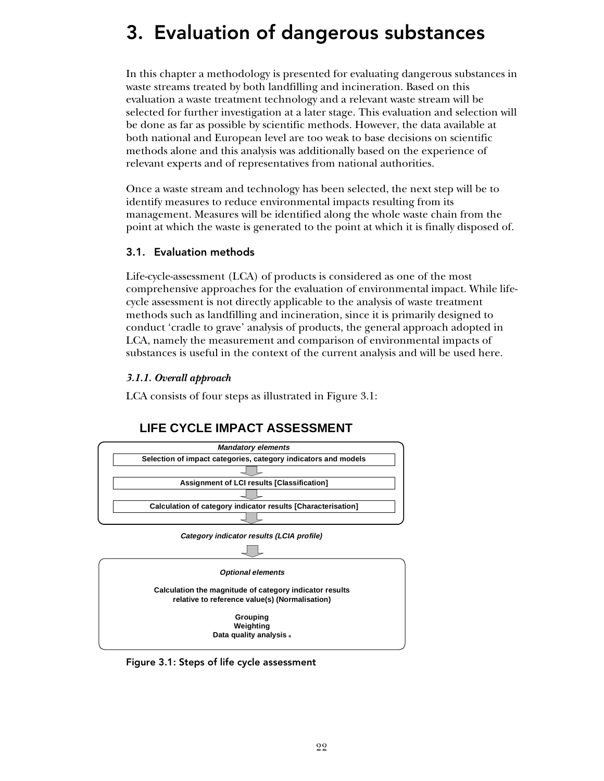# 3. Evaluation of dangerous substances

In this chapter a methodology is presented for evaluating dangerous substances in waste streams treated by both landfilling and incineration. Based on this evaluation a waste treatment technology and a relevant waste stream will be selected for further investigation at a later stage. This evaluation and selection will be done as far as possible by scientific methods. However, the data available at both national and European level are too weak to base decisions on scientific methods alone and this analysis was additionally based on the experience of relevant experts and of representatives from national authorities.

Once a waste stream and technology has been selected, the next step will be to identify measures to reduce environmental impacts resulting from its management. Measures will be identified along the whole waste chain from the point at which the waste is generated to the point at which it is finally disposed of.

# 3.1. Evaluation methods

Life-cycle-assessment (LCA) of products is considered as one of the most comprehensive approaches for the evaluation of environmental impact. While lifecycle assessment is not directly applicable to the analysis of waste treatment methods such as landfilling and incineration, since it is primarily designed to conduct 'cradle to grave' analysis of products, the general approach adopted in LCA, namely the measurement and comparison of environmental impacts of substances is useful in the context of the current analysis and will be used here.

### *3.1.1. Overall approach*

LCA consists of four steps as illustrated in Figure 3.1:

# **LIFE CYCLE IMPACT ASSESSMENT**



Figure 3.1: Steps of life cycle assessment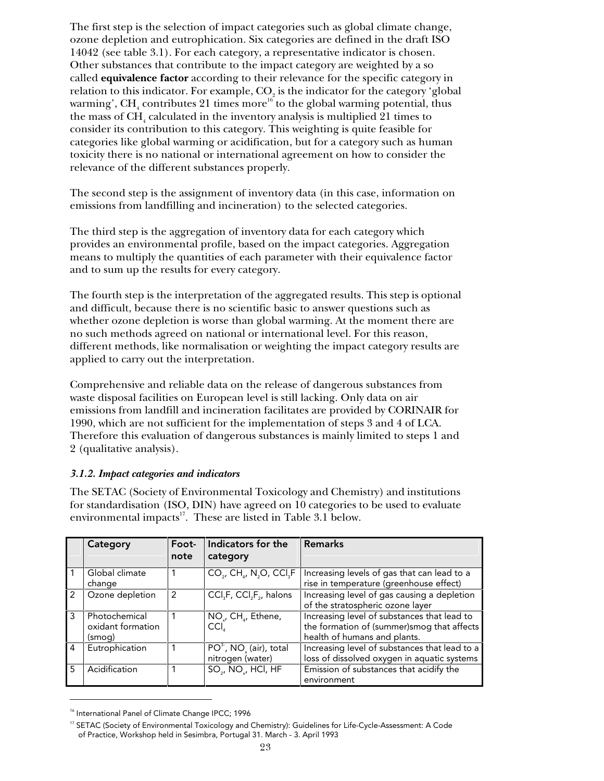The first step is the selection of impact categories such as global climate change, ozone depletion and eutrophication. Six categories are defined in the draft ISO 14042 (see table 3.1). For each category, a representative indicator is chosen. Other substances that contribute to the impact category are weighted by a so called **equivalence factor** according to their relevance for the specific category in relation to this indicator. For example,  $CO<sub>2</sub>$  is the indicator for the category 'global warming',  $\text{CH}_4$  contributes  $21$  times more $^{16}$  to the global warming potential, thus the mass of  $\text{CH}_4$  calculated in the inventory analysis is multiplied  $21$  times to consider its contribution to this category. This weighting is quite feasible for categories like global warming or acidification, but for a category such as human toxicity there is no national or international agreement on how to consider the relevance of the different substances properly.

The second step is the assignment of inventory data (in this case, information on emissions from landfilling and incineration) to the selected categories.

The third step is the aggregation of inventory data for each category which provides an environmental profile, based on the impact categories. Aggregation means to multiply the quantities of each parameter with their equivalence factor and to sum up the results for every category.

The fourth step is the interpretation of the aggregated results. This step is optional and difficult, because there is no scientific basic to answer questions such as whether ozone depletion is worse than global warming. At the moment there are no such methods agreed on national or international level. For this reason, different methods, like normalisation or weighting the impact category results are applied to carry out the interpretation.

Comprehensive and reliable data on the release of dangerous substances from waste disposal facilities on European level is still lacking. Only data on air emissions from landfill and incineration facilitates are provided by CORINAIR for 1990, which are not sufficient for the implementation of steps 3 and 4 of LCA. Therefore this evaluation of dangerous substances is mainly limited to steps 1 and 2 (qualitative analysis).

# *3.1.2. Impact categories and indicators*

The SETAC (Society of Environmental Toxicology and Chemistry) and institutions for standardisation (ISO, DIN) have agreed on 10 categories to be used to evaluate environmental impacts<sup>17</sup>. These are listed in Table 3.1 below.

|                | Category                                     | Foot-<br>note | Indicators for the<br>category                                 | <b>Remarks</b>                                                                                                             |
|----------------|----------------------------------------------|---------------|----------------------------------------------------------------|----------------------------------------------------------------------------------------------------------------------------|
|                | Global climate<br>change                     |               | $CO2$ , CH <sub>4</sub> , N <sub>2</sub> O, CCl <sub>3</sub> F | Increasing levels of gas that can lead to a<br>rise in temperature (greenhouse effect)                                     |
| $\mathcal{P}$  | Ozone depletion                              | 2             | $CCI3F, CCI2F2$ , halons                                       | Increasing level of gas causing a depletion<br>of the stratospheric ozone layer                                            |
| 3              | Photochemical<br>oxidant formation<br>(smog) |               | NO <sub>v</sub> , CH <sub>1</sub> , Ethene,<br>CCI.            | Increasing level of substances that lead to<br>the formation of (summer) smog that affects<br>health of humans and plants. |
| $\overline{4}$ | Eutrophication                               |               | $PO3$ , NO <sub>z</sub> (air), total<br>nitrogen (water)       | Increasing level of substances that lead to a<br>loss of dissolved oxygen in aquatic systems                               |
| 5              | Acidification                                |               | SO <sub>2</sub> , NO <sub>2</sub> , HCl, HF                    | Emission of substances that acidify the<br>environment                                                                     |

<sup>&</sup>lt;sup>16</sup> International Panel of Climate Change IPCC; 1996

1

<sup>&</sup>lt;sup>17</sup> SETAC (Society of Environmental Toxicology and Chemistry): Guidelines for Life-Cycle-Assessment: A Code of Practice, Workshop held in Sesimbra, Portugal 31. March - 3. April 1993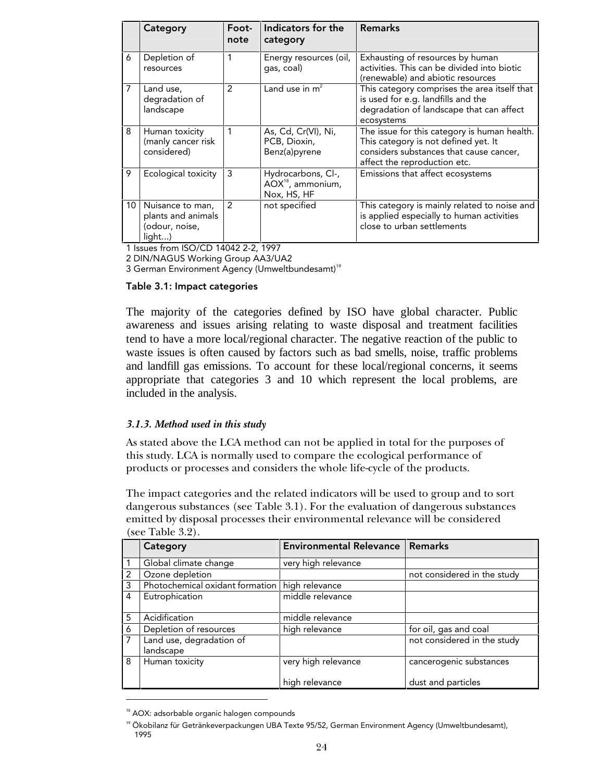|                 | Category                                                           | Foot-<br>note | Indicators for the<br>category                                     | <b>Remarks</b>                                                                                                                                                  |
|-----------------|--------------------------------------------------------------------|---------------|--------------------------------------------------------------------|-----------------------------------------------------------------------------------------------------------------------------------------------------------------|
| 6               | Depletion of<br>resources                                          | 1             | Energy resources (oil,<br>gas, coal)                               | Exhausting of resources by human<br>activities. This can be divided into biotic<br>(renewable) and abiotic resources                                            |
| 7               | Land use,<br>degradation of<br>landscape                           | 2             | Land use in $m^2$                                                  | This category comprises the area itself that<br>is used for e.g. landfills and the<br>degradation of landscape that can affect<br>ecosystems                    |
| 8               | Human toxicity<br>(manly cancer risk<br>considered)                | 1             | As, Cd, Cr(VI), Ni,<br>PCB, Dioxin,<br>Benz(a)pyrene               | The issue for this category is human health.<br>This category is not defined yet. It<br>considers substances that cause cancer,<br>affect the reproduction etc. |
| 9               | Ecological toxicity                                                | 3             | Hydrocarbons, Cl-,<br>AOX <sup>18</sup> , ammonium,<br>Nox, HS, HF | Emissions that affect ecosystems                                                                                                                                |
| 10 <sup>1</sup> | Nuisance to man,<br>plants and animals<br>(odour, noise,<br>light) | $\mathcal{P}$ | not specified                                                      | This category is mainly related to noise and<br>is applied especially to human activities<br>close to urban settlements                                         |

1 Issues from ISO/CD 14042 2-2, 1997

2 DIN/NAGUS Working Group AA3/UA2

3 German Environment Agency (Umweltbundesamt)<sup>19</sup>

#### Table 3.1: Impact categories

The majority of the categories defined by ISO have global character. Public awareness and issues arising relating to waste disposal and treatment facilities tend to have a more local/regional character. The negative reaction of the public to waste issues is often caused by factors such as bad smells, noise, traffic problems and landfill gas emissions. To account for these local/regional concerns, it seems appropriate that categories 3 and 10 which represent the local problems, are included in the analysis.

### *3.1.3. Method used in this study*

As stated above the LCA method can not be applied in total for the purposes of this study. LCA is normally used to compare the ecological performance of products or processes and considers the whole life-cycle of the products.

The impact categories and the related indicators will be used to group and to sort dangerous substances (see Table 3.1). For the evaluation of dangerous substances emitted by disposal processes their environmental relevance will be considered (see Table 3.2).

|                | Category                                       | <b>Environmental Relevance   Remarks</b> |                             |  |
|----------------|------------------------------------------------|------------------------------------------|-----------------------------|--|
|                | Global climate change                          | very high relevance                      |                             |  |
| $\overline{2}$ | Ozone depletion                                |                                          | not considered in the study |  |
| 3              | Photochemical oxidant formation high relevance |                                          |                             |  |
| $\overline{4}$ | Eutrophication                                 | middle relevance                         |                             |  |
| 5              | Acidification                                  | middle relevance                         |                             |  |
| 6              | Depletion of resources                         | high relevance                           | for oil, gas and coal       |  |
|                | Land use, degradation of<br>landscape          |                                          | not considered in the study |  |
| 8              | Human toxicity                                 | very high relevance                      | cancerogenic substances     |  |
|                |                                                | high relevance                           | dust and particles          |  |

<sup>&</sup>lt;sup>18</sup> AOX: adsorbable organic halogen compounds

-

<sup>&</sup>lt;sup>19</sup> Ökobilanz für Getränkeverpackungen UBA Texte 95/52, German Environment Agency (Umweltbundesamt), 1995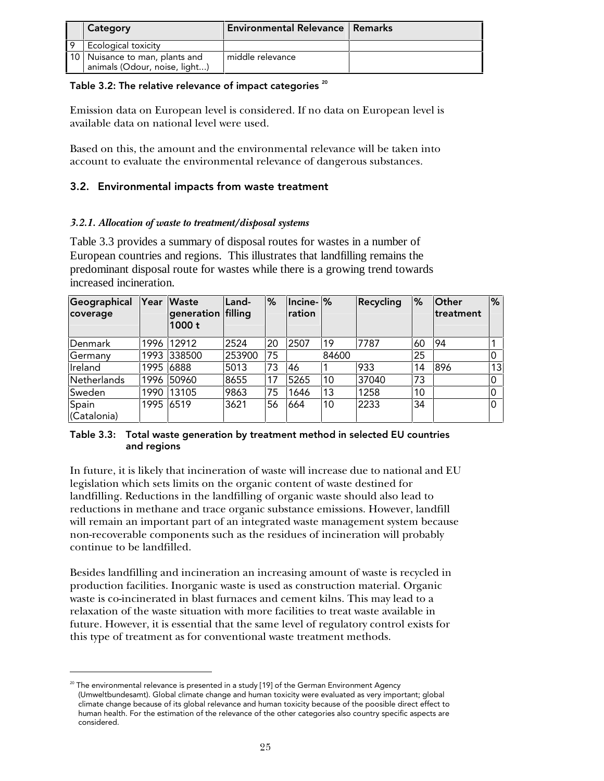| Category                                                          | <b>Environmental Relevance   Remarks</b> |  |
|-------------------------------------------------------------------|------------------------------------------|--|
| Ecological toxicity                                               |                                          |  |
| 10   Nuisance to man, plants and<br>animals (Odour, noise, light) | middle relevance                         |  |

### Table 3.2: The relative relevance of impact categories  $20$

Emission data on European level is considered. If no data on European level is available data on national level were used.

Based on this, the amount and the environmental relevance will be taken into account to evaluate the environmental relevance of dangerous substances.

# 3.2. Environmental impacts from waste treatment

# *3.2.1. Allocation of waste to treatment/disposal systems*

Table 3.3 provides a summary of disposal routes for wastes in a number of European countries and regions. This illustrates that landfilling remains the predominant disposal route for wastes while there is a growing trend towards increased incineration.

| Geographical<br>coverage | Year      | <b>Waste</b><br>generation filling<br>1000t | Land-  | $\frac{9}{6}$ | $ $ Incine- $ %$<br><b>ration</b> |       | Recycling | %  | Other<br>treatment | %              |
|--------------------------|-----------|---------------------------------------------|--------|---------------|-----------------------------------|-------|-----------|----|--------------------|----------------|
| Denmark                  | 1996      | 12912                                       | 2524   | 20            | 2507                              | 19    | 7787      | 60 | 94                 |                |
| Germany                  | 1993      | 338500                                      | 253900 | 75            |                                   | 84600 |           | 25 |                    |                |
| Ireland                  | 1995      | 6888                                        | 5013   | 73            | 46                                |       | 933       | 14 | 896                | 13             |
| Netherlands              |           | 1996 50960                                  | 8655   | 17            | 5265                              | 10    | 37040     | 73 |                    | $\overline{0}$ |
| Sweden                   | 1990      | 13105                                       | 9863   | 75            | 1646                              | 13    | 1258      | 10 |                    | $\overline{0}$ |
| Spain<br>(Catalonia)     | 1995 6519 |                                             | 3621   | 56            | 664                               | 10    | 2233      | 34 |                    | l0             |

### Table 3.3: Total waste generation by treatment method in selected EU countries and regions

In future, it is likely that incineration of waste will increase due to national and EU legislation which sets limits on the organic content of waste destined for landfilling. Reductions in the landfilling of organic waste should also lead to reductions in methane and trace organic substance emissions. However, landfill will remain an important part of an integrated waste management system because non-recoverable components such as the residues of incineration will probably continue to be landfilled.

Besides landfilling and incineration an increasing amount of waste is recycled in production facilities. Inorganic waste is used as construction material. Organic waste is co-incinerated in blast furnaces and cement kilns. This may lead to a relaxation of the waste situation with more facilities to treat waste available in future. However, it is essential that the same level of regulatory control exists for this type of treatment as for conventional waste treatment methods.

1

 $^{20}$  The environmental relevance is presented in a study [19] of the German Environment Agency (Umweltbundesamt). Global climate change and human toxicity were evaluated as very important; global climate change because of its global relevance and human toxicity because of the poosible direct effect to human health. For the estimation of the relevance of the other categories also country specific aspects are considered.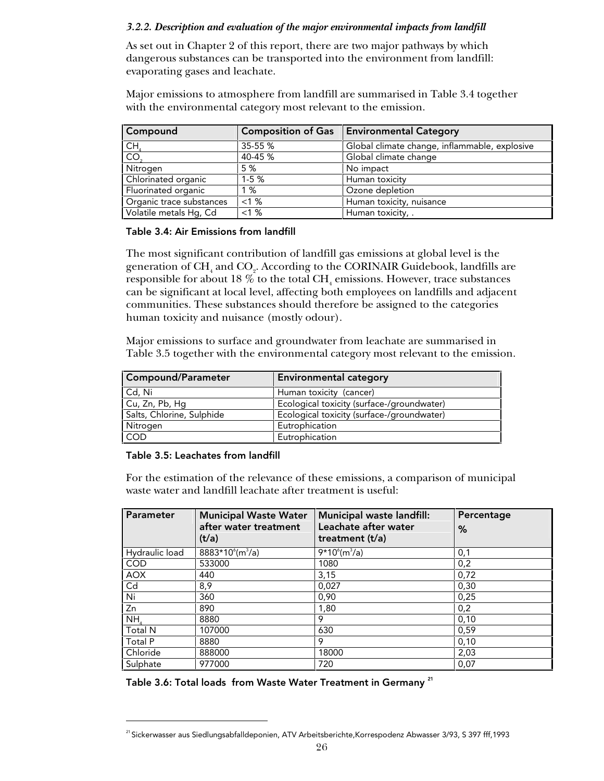## *3.2.2. Description and evaluation of the major environmental impacts from landfill*

As set out in Chapter 2 of this report, there are two major pathways by which dangerous substances can be transported into the environment from landfill: evaporating gases and leachate.

Major emissions to atmosphere from landfill are summarised in Table 3.4 together with the environmental category most relevant to the emission.

| Compound                          | <b>Composition of Gas</b> | <b>Environmental Category</b>                 |
|-----------------------------------|---------------------------|-----------------------------------------------|
| $\frac{\text{CH}_4}{\text{CO}_2}$ | 35-55 %                   | Global climate change, inflammable, explosive |
|                                   | 40-45 %                   | Global climate change                         |
| Nitrogen                          | 5 %                       | No impact                                     |
| Chlorinated organic               | $1-5%$                    | Human toxicity                                |
| Fluorinated organic               | 1 %                       | Ozone depletion                               |
| Organic trace substances          | $< 1 \%$                  | Human toxicity, nuisance                      |
| Volatile metals Hg, Cd            | <1%                       | Human toxicity, .                             |

#### Table 3.4: Air Emissions from landfill

The most significant contribution of landfill gas emissions at global level is the generation of  $\text{CH}_4$  and  $\text{CO}_2$ . According to the CORINAIR Guidebook, landfills are responsible for about 18  $\%$  to the total CH<sub>4</sub> emissions. However, trace substances can be significant at local level, affecting both employees on landfills and adjacent communities. These substances should therefore be assigned to the categories human toxicity and nuisance (mostly odour).

Major emissions to surface and groundwater from leachate are summarised in Table 3.5 together with the environmental category most relevant to the emission.

| Compound/Parameter        | <b>Environmental category</b>              |
|---------------------------|--------------------------------------------|
| Cd, Ni                    | Human toxicity (cancer)                    |
| Cu, Zn, Pb, Hg            | Ecological toxicity (surface-/groundwater) |
| Salts, Chlorine, Sulphide | Ecological toxicity (surface-/groundwater) |
| Nitrogen                  | Eutrophication                             |
| <b>COD</b>                | Eutrophication                             |

### Table 3.5: Leachates from landfill

-

For the estimation of the relevance of these emissions, a comparison of municipal waste water and landfill leachate after treatment is useful:

| Parameter      | <b>Municipal Waste Water</b><br>after water treatment<br>(t/a) | Municipal waste landfill:<br>Leachate after water<br>treatment $(t/a)$ | Percentage<br>% |
|----------------|----------------------------------------------------------------|------------------------------------------------------------------------|-----------------|
| Hydraulic load | $8883*10^{6}$ (m <sup>3</sup> /a)                              | $9*10^{6}$ (m <sup>3</sup> /a)                                         | 0,1             |
| <b>COD</b>     | 533000                                                         | 1080                                                                   | 0,2             |
| <b>AOX</b>     | 440                                                            | 3,15                                                                   | 0,72            |
| Cd             | 8,9                                                            | 0.027                                                                  | 0,30            |
| Ni             | 360                                                            | 0,90                                                                   | 0,25            |
| Zn             | 890                                                            | 1,80                                                                   | 0,2             |
| NH,            | 8880                                                           | 9                                                                      | 0,10            |
| Total N        | 107000                                                         | 630                                                                    | 0,59            |
| Total P        | 8880                                                           | 9                                                                      | 0,10            |
| Chloride       | 888000                                                         | 18000                                                                  | 2,03            |
| Sulphate       | 977000                                                         | 720                                                                    | 0,07            |

Table 3.6: Total loads from Waste Water Treatment in Germany<sup>21</sup>

<sup>&</sup>lt;sup>21</sup> Sickerwasser aus Siedlungsabfalldeponien, ATV Arbeitsberichte,Korrespodenz Abwasser 3/93, S 397 fff,1993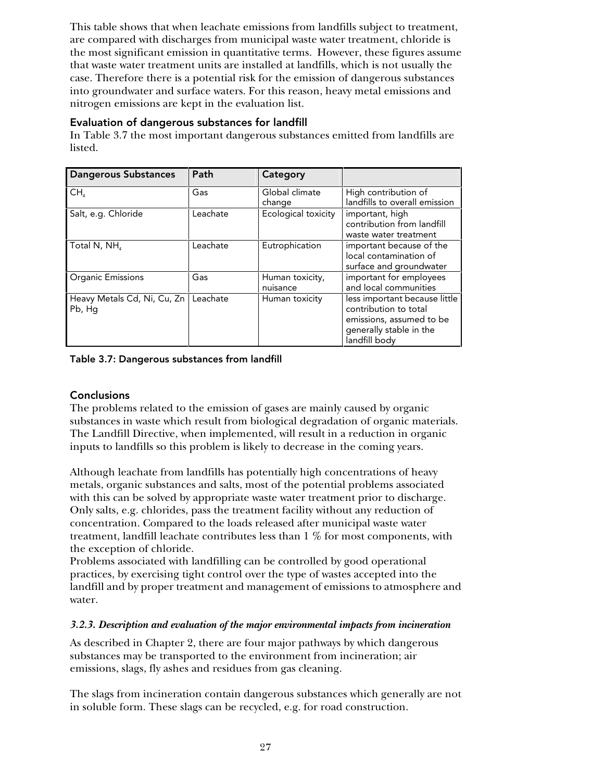This table shows that when leachate emissions from landfills subject to treatment, are compared with discharges from municipal waste water treatment, chloride is the most significant emission in quantitative terms. However, these figures assume that waste water treatment units are installed at landfills, which is not usually the case. Therefore there is a potential risk for the emission of dangerous substances into groundwater and surface waters. For this reason, heavy metal emissions and nitrogen emissions are kept in the evaluation list.

## Evaluation of dangerous substances for landfill

In Table 3.7 the most important dangerous substances emitted from landfills are listed.

| <b>Dangerous Substances</b>           | Path     | Category                    |                                                                                                                                |
|---------------------------------------|----------|-----------------------------|--------------------------------------------------------------------------------------------------------------------------------|
| CH <sub>a</sub>                       | Gas      | Global climate<br>change    | High contribution of<br>landfills to overall emission                                                                          |
| Salt, e.g. Chloride                   | Leachate | Ecological toxicity         | important, high<br>contribution from landfill<br>waste water treatment                                                         |
| Total N, NH,                          | Leachate | Eutrophication              | important because of the<br>local contamination of<br>surface and groundwater                                                  |
| Organic Emissions                     | Gas      | Human toxicity,<br>nuisance | important for employees<br>and local communities                                                                               |
| Heavy Metals Cd, Ni, Cu, Zn<br>Pb, Hg | Leachate | Human toxicity              | less important because little<br>contribution to total<br>emissions, assumed to be<br>generally stable in the<br>landfill body |

Table 3.7: Dangerous substances from landfill

# **Conclusions**

The problems related to the emission of gases are mainly caused by organic substances in waste which result from biological degradation of organic materials. The Landfill Directive, when implemented, will result in a reduction in organic inputs to landfills so this problem is likely to decrease in the coming years.

Although leachate from landfills has potentially high concentrations of heavy metals, organic substances and salts, most of the potential problems associated with this can be solved by appropriate waste water treatment prior to discharge. Only salts, e.g. chlorides, pass the treatment facility without any reduction of concentration. Compared to the loads released after municipal waste water treatment, landfill leachate contributes less than 1 % for most components, with the exception of chloride.

Problems associated with landfilling can be controlled by good operational practices, by exercising tight control over the type of wastes accepted into the landfill and by proper treatment and management of emissions to atmosphere and water.

### *3.2.3. Description and evaluation of the major environmental impacts from incineration*

As described in Chapter 2, there are four major pathways by which dangerous substances may be transported to the environment from incineration; air emissions, slags, fly ashes and residues from gas cleaning.

The slags from incineration contain dangerous substances which generally are not in soluble form. These slags can be recycled, e.g. for road construction.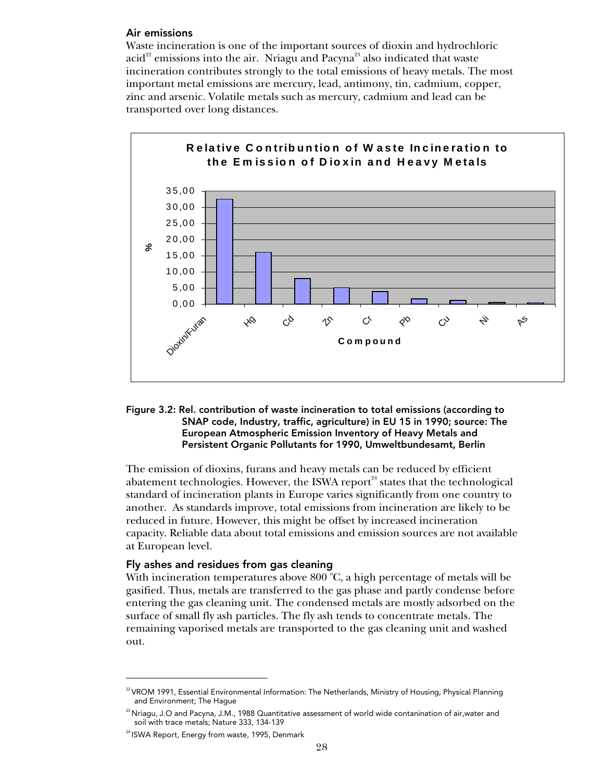#### Air emissions

Waste incineration is one of the important sources of dioxin and hydrochloric  $\text{acid}^{22}$  emissions into the air. Nriagu and Pacyna<sup>23</sup> also indicated that waste incineration contributes strongly to the total emissions of heavy metals. The most important metal emissions are mercury, lead, antimony, tin, cadmium, copper, zinc and arsenic. Volatile metals such as mercury, cadmium and lead can be transported over long distances.



#### Figure 3.2: Rel. contribution of waste incineration to total emissions (according to SNAP code, Industry, traffic, agriculture) in EU 15 in 1990; source: The European Atmospheric Emission Inventory of Heavy Metals and Persistent Organic Pollutants for 1990, Umweltbundesamt, Berlin

The emission of dioxins, furans and heavy metals can be reduced by efficient abatement technologies. However, the ISWA report $n^4$  states that the technological standard of incineration plants in Europe varies significantly from one country to another. As standards improve, total emissions from incineration are likely to be reduced in future. However, this might be offset by increased incineration capacity. Reliable data about total emissions and emission sources are not available at European level.

# Fly ashes and residues from gas cleaning

With incineration temperatures above  $800\text{ °C}$ , a high percentage of metals will be gasified. Thus, metals are transferred to the gas phase and partly condense before entering the gas cleaning unit. The condensed metals are mostly adsorbed on the surface of small fly ash particles. The fly ash tends to concentrate metals. The remaining vaporised metals are transported to the gas cleaning unit and washed out.

<sup>-</sup>

<sup>&</sup>lt;sup>22</sup> VROM 1991, Essential Environmental Information: The Netherlands, Ministry of Housing, Physical Planning and Environment; The Hague

 $^{23}$ Nriagu, J.O and Pacyna, J.M., 1988 Quantitative assessment of world wide contanination of air,water and soil with trace metals; Nature 333, 134-139

<sup>&</sup>lt;sup>24</sup> ISWA Report, Energy from waste, 1995, Denmark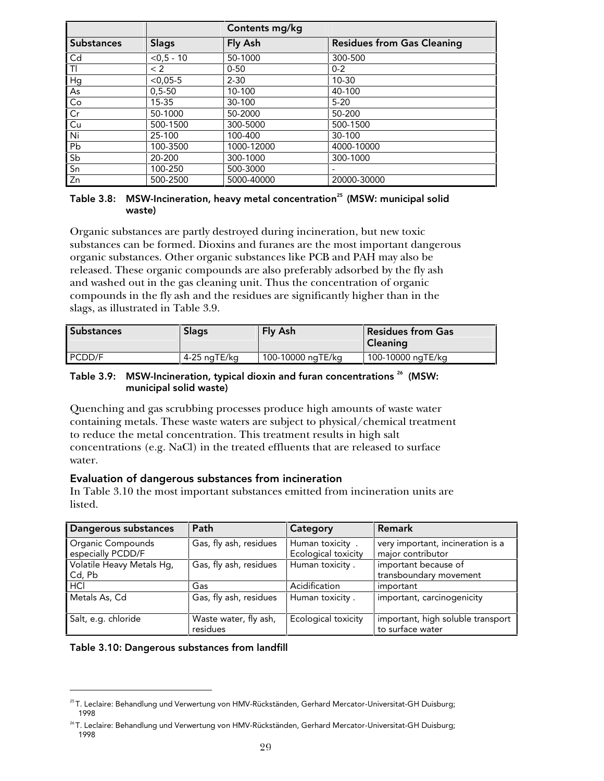|                   |              | Contents mg/kg |                                   |
|-------------------|--------------|----------------|-----------------------------------|
| <b>Substances</b> | <b>Slags</b> | Fly Ash        | <b>Residues from Gas Cleaning</b> |
| Cd                | $< 0.5 - 10$ | 50-1000        | 300-500                           |
| $\overline{1}$    | < 2          | $0 - 50$       | $0 - 2$                           |
| Hg                | $< 0.05 - 5$ | $2 - 30$       | $10 - 30$                         |
| As                | $0.5 - 50$   | 10-100         | 40-100                            |
| Co                | $15 - 35$    | 30-100         | $5 - 20$                          |
| Cr                | 50-1000      | 50-2000        | 50-200                            |
| Cu                | 500-1500     | 300-5000       | 500-1500                          |
| Ni                | 25-100       | 100-400        | $30 - 100$                        |
| Pb                | 100-3500     | 1000-12000     | 4000-10000                        |
| Sb                | 20-200       | 300-1000       | 300-1000                          |
| Sn                | 100-250      | 500-3000       |                                   |
| Zn                | 500-2500     | 5000-40000     | 20000-30000                       |

#### Table 3.8: MSW-Incineration, heavy metal concentration<sup>25</sup> (MSW: municipal solid waste)

Organic substances are partly destroyed during incineration, but new toxic substances can be formed. Dioxins and furanes are the most important dangerous organic substances. Other organic substances like PCB and PAH may also be released. These organic compounds are also preferably adsorbed by the fly ash and washed out in the gas cleaning unit. Thus the concentration of organic compounds in the fly ash and the residues are significantly higher than in the slags, as illustrated in Table 3.9.

| <b>Substances</b> | <b>Slags</b> | Fly Ash           | <b>Residues from Gas</b><br><b>Cleaning</b> |
|-------------------|--------------|-------------------|---------------------------------------------|
| PCDD/F            | 4-25 naTE/ka | 100-10000 ngTE/kg | 100-10000 ngTE/kg                           |

#### Table 3.9: MSW-Incineration, typical dioxin and furan concentrations<sup>26</sup> (MSW: municipal solid waste)

Quenching and gas scrubbing processes produce high amounts of waste water containing metals. These waste waters are subject to physical/chemical treatment to reduce the metal concentration. This treatment results in high salt concentrations (e.g. NaCl) in the treated effluents that are released to surface water.

# Evaluation of dangerous substances from incineration

In Table 3.10 the most important substances emitted from incineration units are listed.

| Dangerous substances                   | Path                              | Category                               | <b>Remark</b>                                          |
|----------------------------------------|-----------------------------------|----------------------------------------|--------------------------------------------------------|
| Organic Compounds<br>especially PCDD/F | Gas, fly ash, residues            | Human toxicity.<br>Ecological toxicity | very important, incineration is a<br>major contributor |
| Volatile Heavy Metals Hg,<br>Cd, Pb    | Gas, fly ash, residues            | Human toxicity.                        | important because of<br>transboundary movement         |
| HCI                                    | Gas                               | Acidification                          | important                                              |
| Metals As, Cd                          | Gas, fly ash, residues            | Human toxicity.                        | important, carcinogenicity                             |
| Salt, e.g. chloride                    | Waste water, fly ash,<br>residues | Ecological toxicity                    | important, high soluble transport<br>to surface water  |

Table 3.10: Dangerous substances from landfill

1

<sup>&</sup>lt;sup>25</sup> T. Leclaire: Behandlung und Verwertung von HMV-Rückständen, Gerhard Mercator-Universitat-GH Duisburg; 1998

<sup>&</sup>lt;sup>26</sup> T. Leclaire: Behandlung und Verwertung von HMV-Rückständen, Gerhard Mercator-Universitat-GH Duisburg; 1998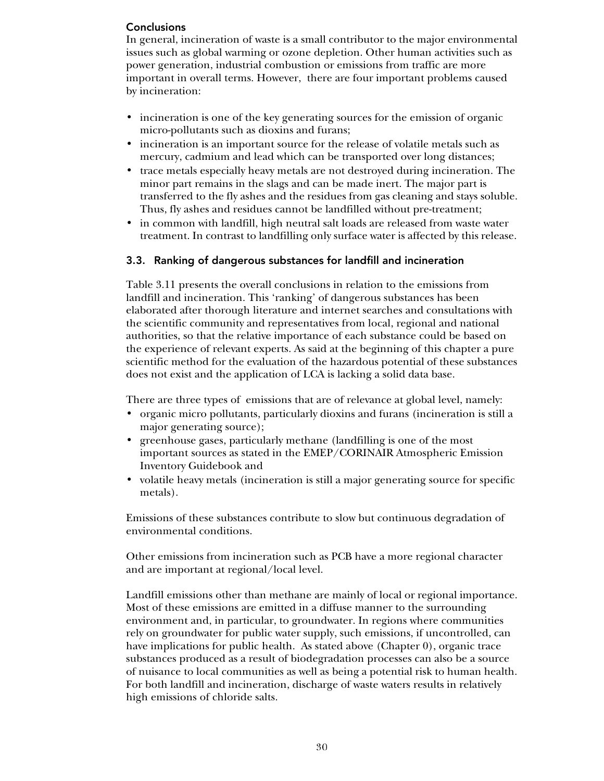# **Conclusions**

In general, incineration of waste is a small contributor to the major environmental issues such as global warming or ozone depletion. Other human activities such as power generation, industrial combustion or emissions from traffic are more important in overall terms. However, there are four important problems caused by incineration:

- incineration is one of the key generating sources for the emission of organic micro-pollutants such as dioxins and furans;
- incineration is an important source for the release of volatile metals such as mercury, cadmium and lead which can be transported over long distances;
- trace metals especially heavy metals are not destroyed during incineration. The minor part remains in the slags and can be made inert. The major part is transferred to the fly ashes and the residues from gas cleaning and stays soluble. Thus, fly ashes and residues cannot be landfilled without pre-treatment;
- in common with landfill, high neutral salt loads are released from waste water treatment. In contrast to landfilling only surface water is affected by this release.

## 3.3. Ranking of dangerous substances for landfill and incineration

Table 3.11 presents the overall conclusions in relation to the emissions from landfill and incineration. This 'ranking' of dangerous substances has been elaborated after thorough literature and internet searches and consultations with the scientific community and representatives from local, regional and national authorities, so that the relative importance of each substance could be based on the experience of relevant experts. As said at the beginning of this chapter a pure scientific method for the evaluation of the hazardous potential of these substances does not exist and the application of LCA is lacking a solid data base.

There are three types of emissions that are of relevance at global level, namely:

- organic micro pollutants, particularly dioxins and furans (incineration is still a major generating source);
- greenhouse gases, particularly methane (landfilling is one of the most important sources as stated in the EMEP/CORINAIR Atmospheric Emission Inventory Guidebook and
- volatile heavy metals (incineration is still a major generating source for specific metals).

Emissions of these substances contribute to slow but continuous degradation of environmental conditions.

Other emissions from incineration such as PCB have a more regional character and are important at regional/local level.

Landfill emissions other than methane are mainly of local or regional importance. Most of these emissions are emitted in a diffuse manner to the surrounding environment and, in particular, to groundwater. In regions where communities rely on groundwater for public water supply, such emissions, if uncontrolled, can have implications for public health. As stated above (Chapter 0), organic trace substances produced as a result of biodegradation processes can also be a source of nuisance to local communities as well as being a potential risk to human health. For both landfill and incineration, discharge of waste waters results in relatively high emissions of chloride salts.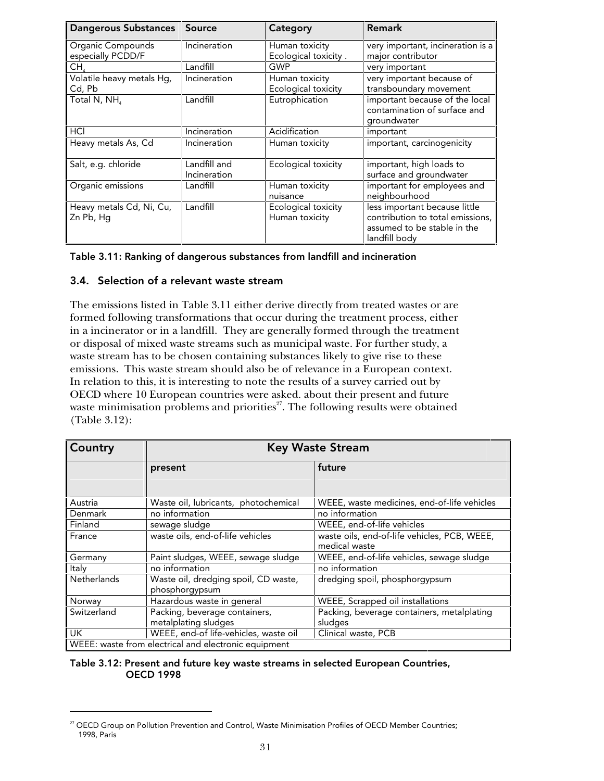| <b>Dangerous Substances</b>            | Source                       | Category                               | <b>Remark</b>                                                                                                     |
|----------------------------------------|------------------------------|----------------------------------------|-------------------------------------------------------------------------------------------------------------------|
| Organic Compounds<br>especially PCDD/F | Incineration                 | Human toxicity<br>Ecological toxicity. | very important, incineration is a<br>major contributor                                                            |
| CH,                                    | Landfill                     | GWP                                    | very important                                                                                                    |
| Volatile heavy metals Hg,<br>Cd, Pb    | Incineration                 | Human toxicity<br>Ecological toxicity  | very important because of<br>transboundary movement                                                               |
| Total N, NH                            | Landfill                     | Eutrophication                         | important because of the local<br>contamination of surface and<br>groundwater                                     |
| HCI                                    | Incineration                 | Acidification                          | important                                                                                                         |
| Heavy metals As, Cd                    | Incineration                 | Human toxicity                         | important, carcinogenicity                                                                                        |
| Salt, e.g. chloride                    | Landfill and<br>Incineration | Ecological toxicity                    | important, high loads to<br>surface and groundwater                                                               |
| Organic emissions                      | Landfill                     | Human toxicity<br>nuisance             | important for employees and<br>neighbourhood                                                                      |
| Heavy metals Cd, Ni, Cu,<br>Zn Pb, Hg  | Landfill                     | Ecological toxicity<br>Human toxicity  | less important because little<br>contribution to total emissions,<br>assumed to be stable in the<br>landfill body |

### 3.4. Selection of a relevant waste stream

j

The emissions listed in Table 3.11 either derive directly from treated wastes or are formed following transformations that occur during the treatment process, either in a incinerator or in a landfill. They are generally formed through the treatment or disposal of mixed waste streams such as municipal waste. For further study, a waste stream has to be chosen containing substances likely to give rise to these emissions. This waste stream should also be of relevance in a European context. In relation to this, it is interesting to note the results of a survey carried out by OECD where 10 European countries were asked. about their present and future waste minimisation problems and priorities $^{27}$ . The following results were obtained (Table 3.12):

| Country                                              | <b>Key Waste Stream</b>               |                                              |  |  |
|------------------------------------------------------|---------------------------------------|----------------------------------------------|--|--|
|                                                      | present                               | future                                       |  |  |
|                                                      |                                       |                                              |  |  |
| Austria                                              | Waste oil, lubricants, photochemical  | WEEE, waste medicines, end-of-life vehicles  |  |  |
| Denmark                                              | no information                        | no information                               |  |  |
| Finland                                              | sewage sludge                         | WEEE, end-of-life vehicles                   |  |  |
| France                                               | waste oils, end-of-life vehicles      | waste oils, end-of-life vehicles, PCB, WEEE, |  |  |
|                                                      |                                       | medical waste                                |  |  |
| Germany                                              | Paint sludges, WEEE, sewage sludge    | WEEE, end-of-life vehicles, sewage sludge    |  |  |
| Italy                                                | no information                        | no information                               |  |  |
| Netherlands                                          | Waste oil, dredging spoil, CD waste,  | dredging spoil, phosphorgypsum               |  |  |
|                                                      | phosphorgypsum                        |                                              |  |  |
| Norway                                               | Hazardous waste in general            | WEEE, Scrapped oil installations             |  |  |
| Switzerland                                          | Packing, beverage containers,         | Packing, beverage containers, metalplating   |  |  |
|                                                      | metalplating sludges                  | sludges                                      |  |  |
| UK.                                                  | WEEE, end-of life-vehicles, waste oil | Clinical waste, PCB                          |  |  |
| WEEE: waste from electrical and electronic equipment |                                       |                                              |  |  |

#### Table 3.12: Present and future key waste streams in selected European Countries, OECD 1998

 $27$  OECD Group on Pollution Prevention and Control, Waste Minimisation Profiles of OECD Member Countries; 1998, Paris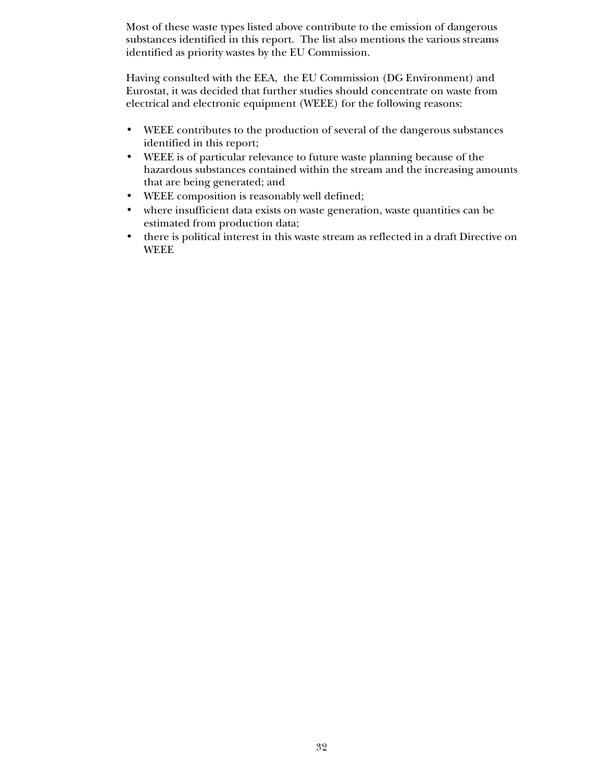Most of these waste types listed above contribute to the emission of dangerous substances identified in this report. The list also mentions the various streams identified as priority wastes by the EU Commission.

Having consulted with the EEA, the EU Commission (DG Environment) and Eurostat, it was decided that further studies should concentrate on waste from electrical and electronic equipment (WEEE) for the following reasons:

- WEEE contributes to the production of several of the dangerous substances identified in this report;
- WEEE is of particular relevance to future waste planning because of the hazardous substances contained within the stream and the increasing amounts that are being generated; and
- WEEE composition is reasonably well defined;
- where insufficient data exists on waste generation, waste quantities can be estimated from production data;
- there is political interest in this waste stream as reflected in a draft Directive on WEEE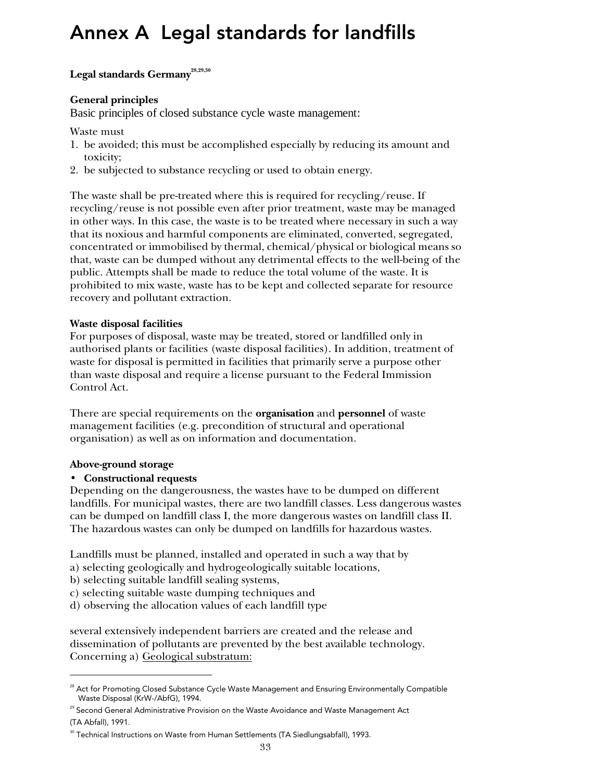# Annex A Legal standards for landfills

# Legal standards Germany<sup>28,29,30</sup>

## **General principles**

Basic principles of closed substance cycle waste management:

Waste must

- 1. be avoided; this must be accomplished especially by reducing its amount and toxicity;
- 2. be subjected to substance recycling or used to obtain energy.

The waste shall be pre-treated where this is required for recycling/reuse. If recycling/reuse is not possible even after prior treatment, waste may be managed in other ways. In this case, the waste is to be treated where necessary in such a way that its noxious and harmful components are eliminated, converted, segregated, concentrated or immobilised by thermal, chemical/physical or biological means so that, waste can be dumped without any detrimental effects to the well-being of the public. Attempts shall be made to reduce the total volume of the waste. It is prohibited to mix waste, waste has to be kept and collected separate for resource recovery and pollutant extraction.

## **Waste disposal facilities**

For purposes of disposal, waste may be treated, stored or landfilled only in authorised plants or facilities (waste disposal facilities). In addition, treatment of waste for disposal is permitted in facilities that primarily serve a purpose other than waste disposal and require a license pursuant to the Federal Immission Control Act.

There are special requirements on the **organisation** and **personnel** of waste management facilities (e.g. precondition of structural and operational organisation) as well as on information and documentation.

# **Above-ground storage**

# • **Constructional requests**

Depending on the dangerousness, the wastes have to be dumped on different landfills. For municipal wastes, there are two landfill classes. Less dangerous wastes can be dumped on landfill class I, the more dangerous wastes on landfill class II. The hazardous wastes can only be dumped on landfills for hazardous wastes.

Landfills must be planned, installed and operated in such a way that by

a) selecting geologically and hydrogeologically suitable locations,

- b) selecting suitable landfill sealing systems,
- c) selecting suitable waste dumping techniques and
- d) observing the allocation values of each landfill type

several extensively independent barriers are created and the release and dissemination of pollutants are prevented by the best available technology. Concerning a) Geological substratum:

1

<sup>&</sup>lt;sup>28</sup> Act for Promoting Closed Substance Cycle Waste Management and Ensuring Environmentally Compatible Waste Disposal (KrW-/AbfG), 1994.

<sup>&</sup>lt;sup>29</sup> Second General Administrative Provision on the Waste Avoidance and Waste Management Act

<sup>(</sup>TA Abfall), 1991.

<sup>30</sup> Technical Instructions on Waste from Human Settlements (TA Siedlungsabfall), 1993.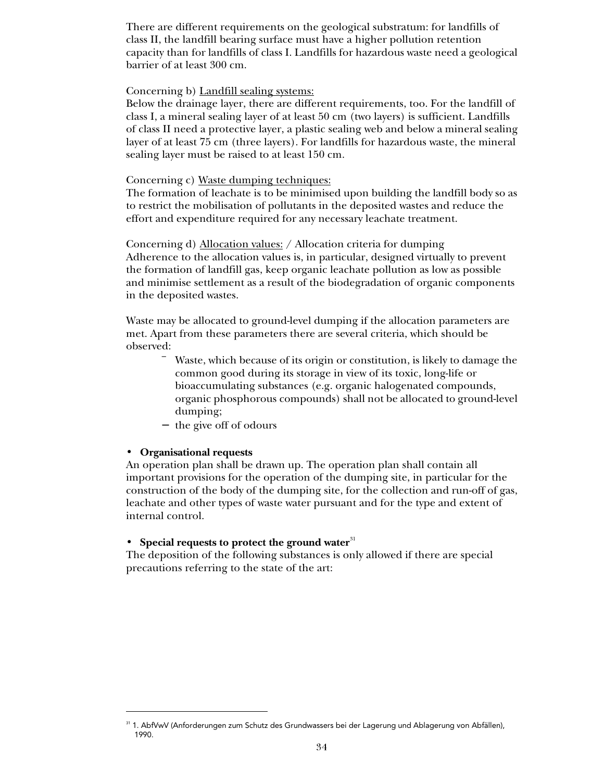There are different requirements on the geological substratum: for landfills of class II, the landfill bearing surface must have a higher pollution retention capacity than for landfills of class I. Landfills for hazardous waste need a geological barrier of at least 300 cm.

#### Concerning b) Landfill sealing systems:

Below the drainage layer, there are different requirements, too. For the landfill of class I, a mineral sealing layer of at least 50 cm (two layers) is sufficient. Landfills of class II need a protective layer, a plastic sealing web and below a mineral sealing layer of at least 75 cm (three layers). For landfills for hazardous waste, the mineral sealing layer must be raised to at least 150 cm.

## Concerning c) Waste dumping techniques:

The formation of leachate is to be minimised upon building the landfill body so as to restrict the mobilisation of pollutants in the deposited wastes and reduce the effort and expenditure required for any necessary leachate treatment.

Concerning d) Allocation values: / Allocation criteria for dumping Adherence to the allocation values is, in particular, designed virtually to prevent the formation of landfill gas, keep organic leachate pollution as low as possible and minimise settlement as a result of the biodegradation of organic components in the deposited wastes.

Waste may be allocated to ground-level dumping if the allocation parameters are met. Apart from these parameters there are several criteria, which should be observed:

> Waste, which because of its origin or constitution, is likely to damage the common good during its storage in view of its toxic, long-life or bioaccumulating substances (e.g. organic halogenated compounds, organic phosphorous compounds) shall not be allocated to ground-level dumping;

− the give off of odours

#### • **Organisational requests**

-

An operation plan shall be drawn up. The operation plan shall contain all important provisions for the operation of the dumping site, in particular for the construction of the body of the dumping site, for the collection and run-off of gas, leachate and other types of waste water pursuant and for the type and extent of internal control.

#### • Special requests to protect the ground water<sup>31</sup>

The deposition of the following substances is only allowed if there are special precautions referring to the state of the art:

<sup>31 1.</sup> AbfVwV (Anforderungen zum Schutz des Grundwassers bei der Lagerung und Ablagerung von Abfällen), 1990.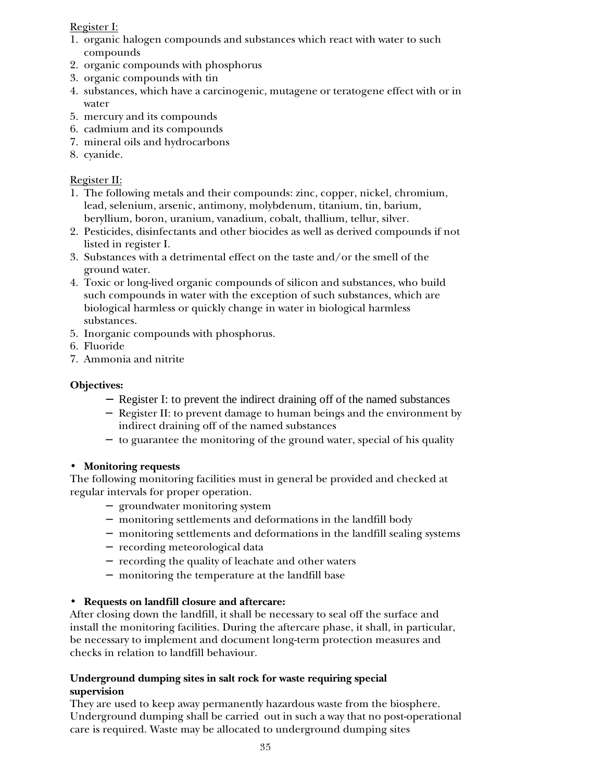# Register I:

- 1. organic halogen compounds and substances which react with water to such compounds
- 2. organic compounds with phosphorus
- 3. organic compounds with tin
- 4. substances, which have a carcinogenic, mutagene or teratogene effect with or in water
- 5. mercury and its compounds
- 6. cadmium and its compounds
- 7. mineral oils and hydrocarbons
- 8. cyanide.

# Register II:

- 1. The following metals and their compounds: zinc, copper, nickel, chromium, lead, selenium, arsenic, antimony, molybdenum, titanium, tin, barium, beryllium, boron, uranium, vanadium, cobalt, thallium, tellur, silver.
- 2. Pesticides, disinfectants and other biocides as well as derived compounds if not listed in register I.
- 3. Substances with a detrimental effect on the taste and/or the smell of the ground water.
- 4. Toxic or long-lived organic compounds of silicon and substances, who build such compounds in water with the exception of such substances, which are biological harmless or quickly change in water in biological harmless substances.
- 5. Inorganic compounds with phosphorus.
- 6. Fluoride
- 7. Ammonia and nitrite

# **Objectives:**

- − Register I: to prevent the indirect draining off of the named substances
- − Register II: to prevent damage to human beings and the environment by indirect draining off of the named substances
- − to guarantee the monitoring of the ground water, special of his quality

# • **Monitoring requests**

The following monitoring facilities must in general be provided and checked at regular intervals for proper operation.

- − groundwater monitoring system
- − monitoring settlements and deformations in the landfill body
- − monitoring settlements and deformations in the landfill sealing systems
- − recording meteorological data
- − recording the quality of leachate and other waters
- − monitoring the temperature at the landfill base

# • **Requests on landfill closure and aftercare:**

After closing down the landfill, it shall be necessary to seal off the surface and install the monitoring facilities. During the aftercare phase, it shall, in particular, be necessary to implement and document long-term protection measures and checks in relation to landfill behaviour.

## **Underground dumping sites in salt rock for waste requiring special supervision**

They are used to keep away permanently hazardous waste from the biosphere. Underground dumping shall be carried out in such a way that no post-operational care is required. Waste may be allocated to underground dumping sites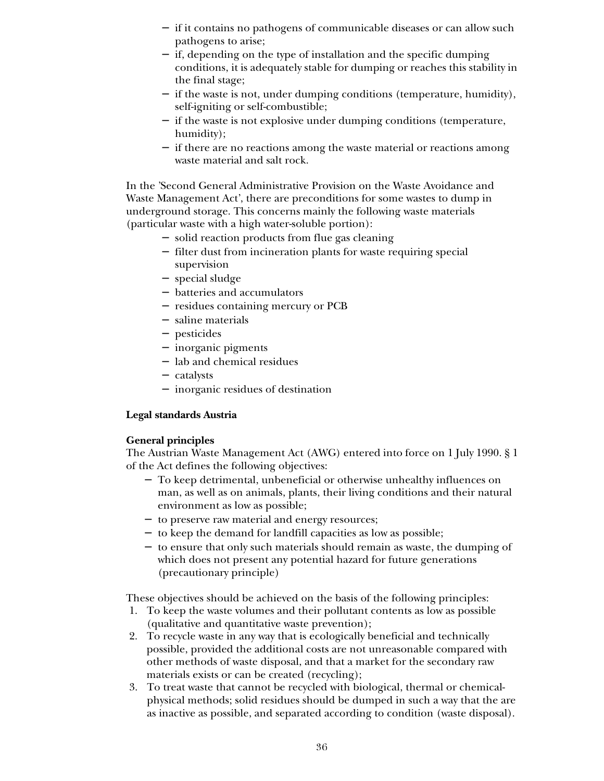- − if it contains no pathogens of communicable diseases or can allow such pathogens to arise;
- − if, depending on the type of installation and the specific dumping conditions, it is adequately stable for dumping or reaches this stability in the final stage;
- − if the waste is not, under dumping conditions (temperature, humidity), self-igniting or self-combustible;
- − if the waste is not explosive under dumping conditions (temperature, humidity);
- − if there are no reactions among the waste material or reactions among waste material and salt rock.

In the 'Second General Administrative Provision on the Waste Avoidance and Waste Management Act', there are preconditions for some wastes to dump in underground storage. This concerns mainly the following waste materials (particular waste with a high water-soluble portion):

- − solid reaction products from flue gas cleaning
- − filter dust from incineration plants for waste requiring special supervision
- − special sludge
- − batteries and accumulators
- − residues containing mercury or PCB
- − saline materials
- − pesticides
- − inorganic pigments
- − lab and chemical residues
- − catalysts
- − inorganic residues of destination

### **Legal standards Austria**

### **General principles**

The Austrian Waste Management Act (AWG) entered into force on 1 July 1990. § 1 of the Act defines the following objectives:

- − To keep detrimental, unbeneficial or otherwise unhealthy influences on man, as well as on animals, plants, their living conditions and their natural environment as low as possible;
- − to preserve raw material and energy resources;
- − to keep the demand for landfill capacities as low as possible;
- − to ensure that only such materials should remain as waste, the dumping of which does not present any potential hazard for future generations (precautionary principle)

These objectives should be achieved on the basis of the following principles:

- 1. To keep the waste volumes and their pollutant contents as low as possible (qualitative and quantitative waste prevention);
- 2. To recycle waste in any way that is ecologically beneficial and technically possible, provided the additional costs are not unreasonable compared with other methods of waste disposal, and that a market for the secondary raw materials exists or can be created (recycling);
- 3. To treat waste that cannot be recycled with biological, thermal or chemicalphysical methods; solid residues should be dumped in such a way that the are as inactive as possible, and separated according to condition (waste disposal).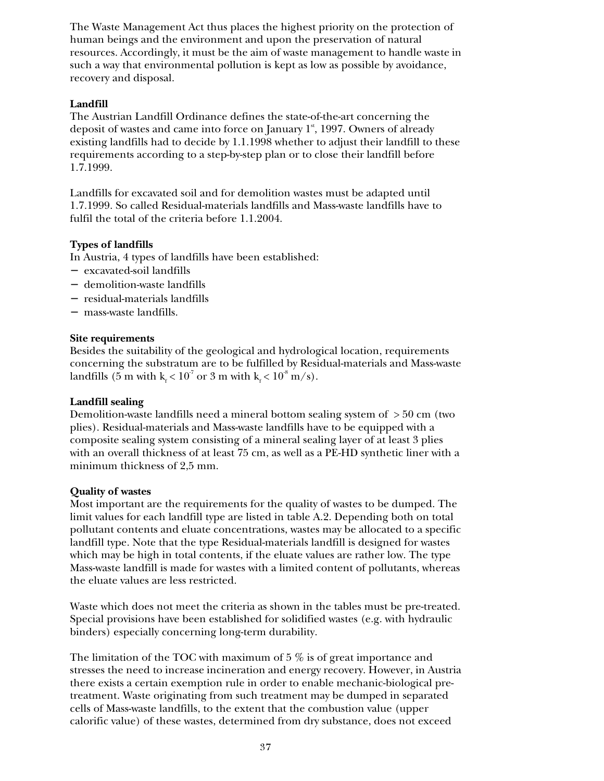The Waste Management Act thus places the highest priority on the protection of human beings and the environment and upon the preservation of natural resources. Accordingly, it must be the aim of waste management to handle waste in such a way that environmental pollution is kept as low as possible by avoidance, recovery and disposal.

## **Landfill**

The Austrian Landfill Ordinance defines the state-of-the-art concerning the deposit of wastes and came into force on January  $1^{\circ}$ , 1997. Owners of already existing landfills had to decide by 1.1.1998 whether to adjust their landfill to these requirements according to a step-by-step plan or to close their landfill before 1.7.1999.

Landfills for excavated soil and for demolition wastes must be adapted until 1.7.1999. So called Residual-materials landfills and Mass-waste landfills have to fulfil the total of the criteria before 1.1.2004.

## **Types of landfills**

In Austria, 4 types of landfills have been established:

- − excavated-soil landfills
- − demolition-waste landfills
- − residual-materials landfills
- − mass-waste landfills.

### **Site requirements**

Besides the suitability of the geological and hydrological location, requirements concerning the substratum are to be fulfilled by Residual-materials and Mass-waste landfills (5 m with  $k_f < 10^7$  or 3 m with  $k_f < 10^8$  m/s).

### **Landfill sealing**

Demolition-waste landfills need a mineral bottom sealing system of  $>50$  cm (two plies). Residual-materials and Mass-waste landfills have to be equipped with a composite sealing system consisting of a mineral sealing layer of at least 3 plies with an overall thickness of at least 75 cm, as well as a PE-HD synthetic liner with a minimum thickness of 2,5 mm.

### **Quality of wastes**

Most important are the requirements for the quality of wastes to be dumped. The limit values for each landfill type are listed in table A.2. Depending both on total pollutant contents and eluate concentrations, wastes may be allocated to a specific landfill type. Note that the type Residual-materials landfill is designed for wastes which may be high in total contents, if the eluate values are rather low. The type Mass-waste landfill is made for wastes with a limited content of pollutants, whereas the eluate values are less restricted.

Waste which does not meet the criteria as shown in the tables must be pre-treated. Special provisions have been established for solidified wastes (e.g. with hydraulic binders) especially concerning long-term durability.

The limitation of the TOC with maximum of  $5\%$  is of great importance and stresses the need to increase incineration and energy recovery. However, in Austria there exists a certain exemption rule in order to enable mechanic-biological pretreatment. Waste originating from such treatment may be dumped in separated cells of Mass-waste landfills, to the extent that the combustion value (upper calorific value) of these wastes, determined from dry substance, does not exceed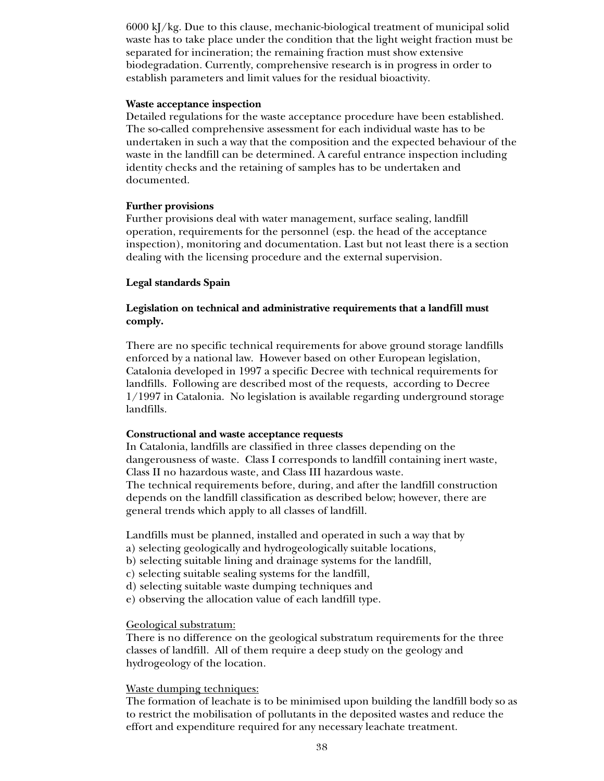6000 kJ/kg. Due to this clause, mechanic-biological treatment of municipal solid waste has to take place under the condition that the light weight fraction must be separated for incineration; the remaining fraction must show extensive biodegradation. Currently, comprehensive research is in progress in order to establish parameters and limit values for the residual bioactivity.

#### **Waste acceptance inspection**

Detailed regulations for the waste acceptance procedure have been established. The so-called comprehensive assessment for each individual waste has to be undertaken in such a way that the composition and the expected behaviour of the waste in the landfill can be determined. A careful entrance inspection including identity checks and the retaining of samples has to be undertaken and documented.

#### **Further provisions**

Further provisions deal with water management, surface sealing, landfill operation, requirements for the personnel (esp. the head of the acceptance inspection), monitoring and documentation. Last but not least there is a section dealing with the licensing procedure and the external supervision.

#### **Legal standards Spain**

#### **Legislation on technical and administrative requirements that a landfill must comply.**

There are no specific technical requirements for above ground storage landfills enforced by a national law. However based on other European legislation, Catalonia developed in 1997 a specific Decree with technical requirements for landfills. Following are described most of the requests, according to Decree 1/1997 in Catalonia. No legislation is available regarding underground storage landfills.

#### **Constructional and waste acceptance requests**

In Catalonia, landfills are classified in three classes depending on the dangerousness of waste. Class I corresponds to landfill containing inert waste, Class II no hazardous waste, and Class III hazardous waste. The technical requirements before, during, and after the landfill construction depends on the landfill classification as described below; however, there are general trends which apply to all classes of landfill.

Landfills must be planned, installed and operated in such a way that by

- a) selecting geologically and hydrogeologically suitable locations,
- b) selecting suitable lining and drainage systems for the landfill,
- c) selecting suitable sealing systems for the landfill,
- d) selecting suitable waste dumping techniques and
- e) observing the allocation value of each landfill type.

#### Geological substratum:

There is no difference on the geological substratum requirements for the three classes of landfill. All of them require a deep study on the geology and hydrogeology of the location.

#### Waste dumping techniques:

The formation of leachate is to be minimised upon building the landfill body so as to restrict the mobilisation of pollutants in the deposited wastes and reduce the effort and expenditure required for any necessary leachate treatment.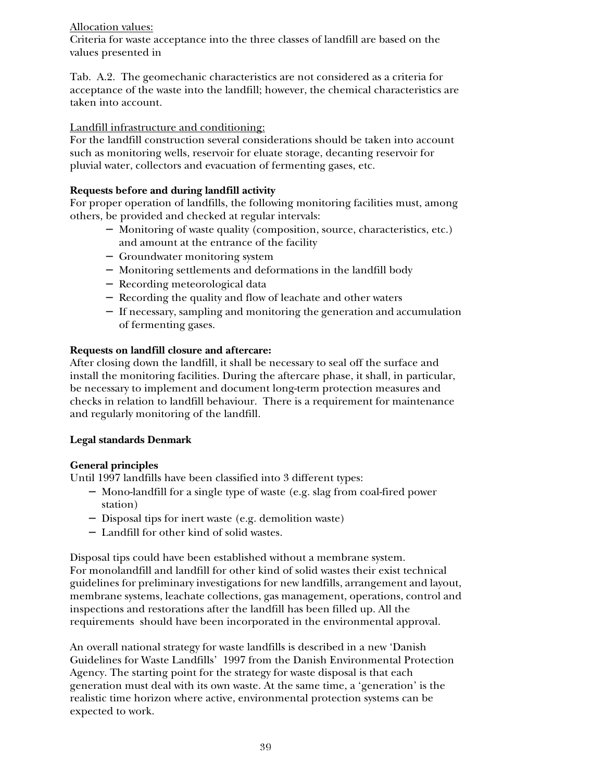# Allocation values:

Criteria for waste acceptance into the three classes of landfill are based on the values presented in

Tab. A.2. The geomechanic characteristics are not considered as a criteria for acceptance of the waste into the landfill; however, the chemical characteristics are taken into account.

## Landfill infrastructure and conditioning:

For the landfill construction several considerations should be taken into account such as monitoring wells, reservoir for eluate storage, decanting reservoir for pluvial water, collectors and evacuation of fermenting gases, etc.

## **Requests before and during landfill activity**

For proper operation of landfills, the following monitoring facilities must, among others, be provided and checked at regular intervals:

- − Monitoring of waste quality (composition, source, characteristics, etc.) and amount at the entrance of the facility
- − Groundwater monitoring system
- − Monitoring settlements and deformations in the landfill body
- − Recording meteorological data
- − Recording the quality and flow of leachate and other waters
- − If necessary, sampling and monitoring the generation and accumulation of fermenting gases.

## **Requests on landfill closure and aftercare:**

After closing down the landfill, it shall be necessary to seal off the surface and install the monitoring facilities. During the aftercare phase, it shall, in particular, be necessary to implement and document long-term protection measures and checks in relation to landfill behaviour. There is a requirement for maintenance and regularly monitoring of the landfill.

### **Legal standards Denmark**

### **General principles**

Until 1997 landfills have been classified into 3 different types:

- − Mono-landfill for a single type of waste (e.g. slag from coal-fired power station)
- − Disposal tips for inert waste (e.g. demolition waste)
- − Landfill for other kind of solid wastes.

Disposal tips could have been established without a membrane system. For monolandfill and landfill for other kind of solid wastes their exist technical guidelines for preliminary investigations for new landfills, arrangement and layout, membrane systems, leachate collections, gas management, operations, control and inspections and restorations after the landfill has been filled up. All the requirements should have been incorporated in the environmental approval.

An overall national strategy for waste landfills is described in a new 'Danish Guidelines for Waste Landfills' 1997 from the Danish Environmental Protection Agency. The starting point for the strategy for waste disposal is that each generation must deal with its own waste. At the same time, a 'generation' is the realistic time horizon where active, environmental protection systems can be expected to work.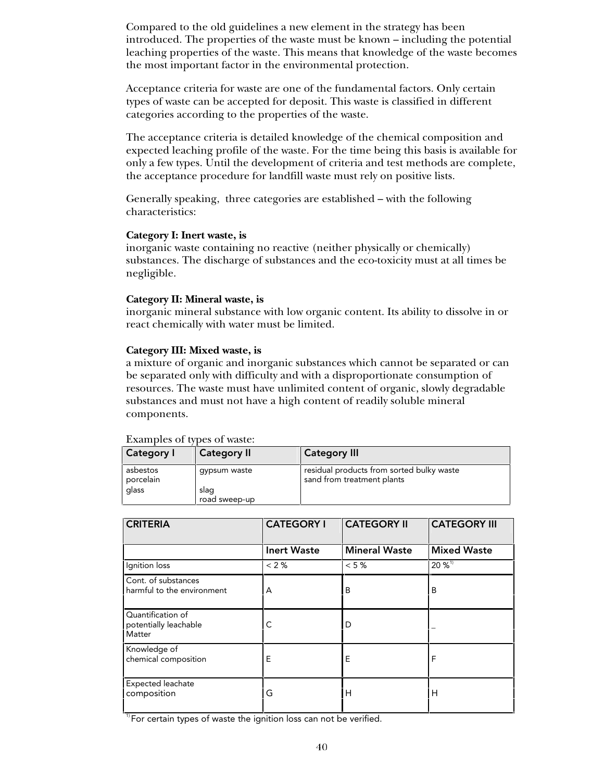Compared to the old guidelines a new element in the strategy has been introduced. The properties of the waste must be known – including the potential leaching properties of the waste. This means that knowledge of the waste becomes the most important factor in the environmental protection.

Acceptance criteria for waste are one of the fundamental factors. Only certain types of waste can be accepted for deposit. This waste is classified in different categories according to the properties of the waste.

The acceptance criteria is detailed knowledge of the chemical composition and expected leaching profile of the waste. For the time being this basis is available for only a few types. Until the development of criteria and test methods are complete, the acceptance procedure for landfill waste must rely on positive lists.

Generally speaking, three categories are established – with the following characteristics:

#### **Category I: Inert waste, is**

inorganic waste containing no reactive (neither physically or chemically) substances. The discharge of substances and the eco-toxicity must at all times be negligible.

#### **Category II: Mineral waste, is**

inorganic mineral substance with low organic content. Its ability to dissolve in or react chemically with water must be limited.

### **Category III: Mixed waste, is**

a mixture of organic and inorganic substances which cannot be separated or can be separated only with difficulty and with a disproportionate consumption of resources. The waste must have unlimited content of organic, slowly degradable substances and must not have a high content of readily soluble mineral components.

| <b>EXULTIDICS</b> OF types of maste. |                    |                                                                         |
|--------------------------------------|--------------------|-------------------------------------------------------------------------|
| <b>Category I</b>                    | <b>Category II</b> | Category III                                                            |
| asbestos<br>porcelain                | qypsum waste       | residual products from sorted bulky waste<br>sand from treatment plants |
| glass                                | slag               |                                                                         |
|                                      | road sweep-up      |                                                                         |

|  |  | Examples of types of waste: |  |
|--|--|-----------------------------|--|
|  |  |                             |  |

| <b>CRITERIA</b>                                      | <b>CATEGORY I</b>  | <b>CATEGORY II</b>   | <b>CATEGORY III</b>  |
|------------------------------------------------------|--------------------|----------------------|----------------------|
|                                                      | <b>Inert Waste</b> | <b>Mineral Waste</b> | <b>Mixed Waste</b>   |
| Ignition loss                                        | < 2%               | $< 5 \%$             | $20\%$ <sup>1)</sup> |
| Cont. of substances<br>harmful to the environment    | A                  | B                    | B                    |
| Quantification of<br>potentially leachable<br>Matter | С                  | D                    |                      |
| Knowledge of<br>chemical composition                 | Е                  | Ε                    | F                    |
| Expected leachate<br>composition                     | G                  | н                    | н                    |

 $1$ <sup>1</sup> For certain types of waste the ignition loss can not be verified.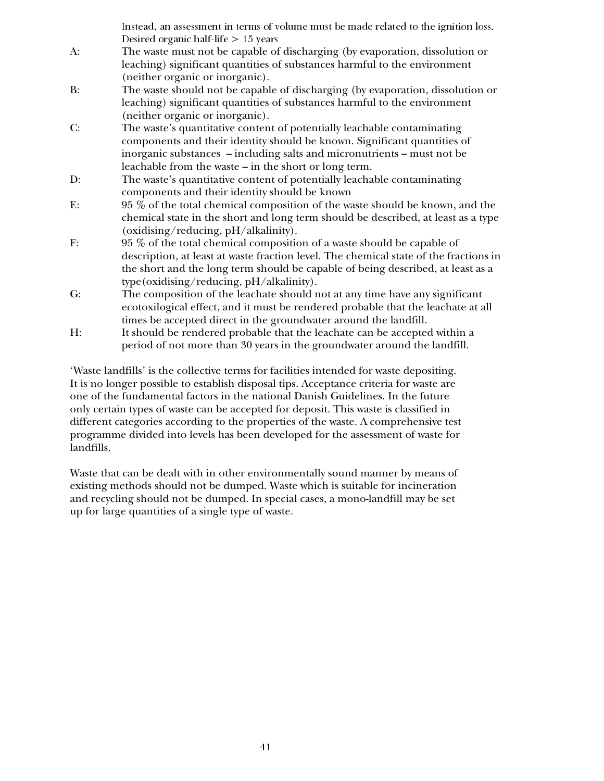|       | Instead, an assessment in terms of volume must be made related to the ignition loss.  |
|-------|---------------------------------------------------------------------------------------|
|       | Desired organic half-life $> 15$ years                                                |
| $A$ : | The waste must not be capable of discharging (by evaporation, dissolution or          |
|       | leaching) significant quantities of substances harmful to the environment             |
|       | (neither organic or inorganic).                                                       |
| B:    | The waste should not be capable of discharging (by evaporation, dissolution or        |
|       | leaching) significant quantities of substances harmful to the environment             |
|       | (neither organic or inorganic).                                                       |
| C:    | The waste's quantitative content of potentially leachable contaminating               |
|       | components and their identity should be known. Significant quantities of              |
|       | inorganic substances - including salts and micronutrients - must not be               |
|       | leachable from the waste – in the short or long term.                                 |
| D:    | The waste's quantitative content of potentially leachable contaminating               |
|       | components and their identity should be known                                         |
| E:    | 95 % of the total chemical composition of the waste should be known, and the          |
|       | chemical state in the short and long term should be described, at least as a type     |
|       | (oxidising/reducing, $pH/alkalinity$ ).                                               |
| F:    | 95 % of the total chemical composition of a waste should be capable of                |
|       | description, at least at waste fraction level. The chemical state of the fractions in |
|       | the short and the long term should be capable of being described, at least as a       |
|       | type (oxidising/reducing, pH/alkalinity).                                             |
| G:    | The composition of the leachate should not at any time have any significant           |
|       | ecotoxilogical effect, and it must be rendered probable that the leachate at all      |
|       | times be accepted direct in the groundwater around the landfill.                      |
| H:    | It should be rendered probable that the leachate can be accepted within a             |

period of not more than 30 years in the groundwater around the landfill.

'Waste landfills' is the collective terms for facilities intended for waste depositing. It is no longer possible to establish disposal tips. Acceptance criteria for waste are one of the fundamental factors in the national Danish Guidelines. In the future only certain types of waste can be accepted for deposit. This waste is classified in different categories according to the properties of the waste. A comprehensive test programme divided into levels has been developed for the assessment of waste for landfills.

Waste that can be dealt with in other environmentally sound manner by means of existing methods should not be dumped. Waste which is suitable for incineration and recycling should not be dumped. In special cases, a mono-landfill may be set up for large quantities of a single type of waste.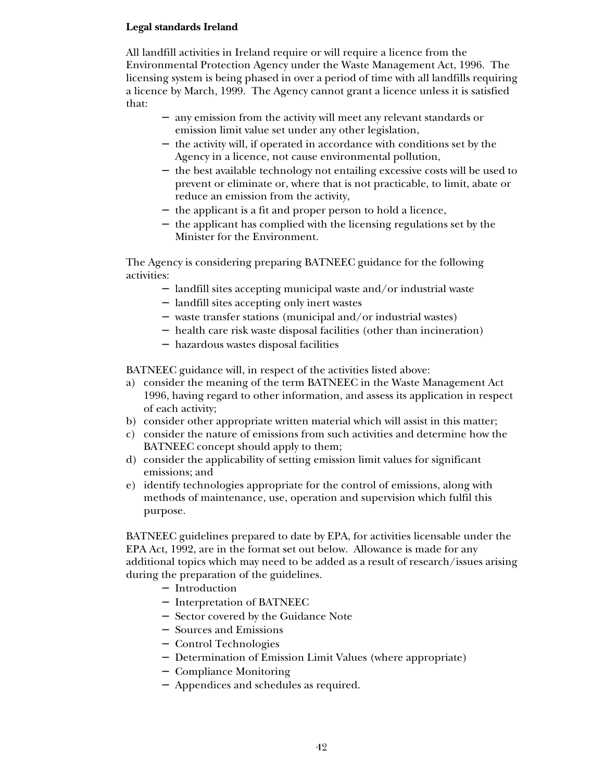# **Legal standards Ireland**

All landfill activities in Ireland require or will require a licence from the Environmental Protection Agency under the Waste Management Act, 1996. The licensing system is being phased in over a period of time with all landfills requiring a licence by March, 1999. The Agency cannot grant a licence unless it is satisfied that:

- − any emission from the activity will meet any relevant standards or emission limit value set under any other legislation,
- − the activity will, if operated in accordance with conditions set by the Agency in a licence, not cause environmental pollution,
- − the best available technology not entailing excessive costs will be used to prevent or eliminate or, where that is not practicable, to limit, abate or reduce an emission from the activity,
- − the applicant is a fit and proper person to hold a licence,
- − the applicant has complied with the licensing regulations set by the Minister for the Environment.

The Agency is considering preparing BATNEEC guidance for the following activities:

- − landfill sites accepting municipal waste and/or industrial waste
- − landfill sites accepting only inert wastes
- − waste transfer stations (municipal and/or industrial wastes)
- − health care risk waste disposal facilities (other than incineration)
- − hazardous wastes disposal facilities

BATNEEC guidance will, in respect of the activities listed above:

- a) consider the meaning of the term BATNEEC in the Waste Management Act 1996, having regard to other information, and assess its application in respect of each activity;
- b) consider other appropriate written material which will assist in this matter;
- c) consider the nature of emissions from such activities and determine how the BATNEEC concept should apply to them;
- d) consider the applicability of setting emission limit values for significant emissions; and
- e) identify technologies appropriate for the control of emissions, along with methods of maintenance, use, operation and supervision which fulfil this purpose.

BATNEEC guidelines prepared to date by EPA, for activities licensable under the EPA Act, 1992, are in the format set out below. Allowance is made for any additional topics which may need to be added as a result of research/issues arising during the preparation of the guidelines.

- − Introduction
- − Interpretation of BATNEEC
- − Sector covered by the Guidance Note
- − Sources and Emissions
- − Control Technologies
- − Determination of Emission Limit Values (where appropriate)
- − Compliance Monitoring
- − Appendices and schedules as required.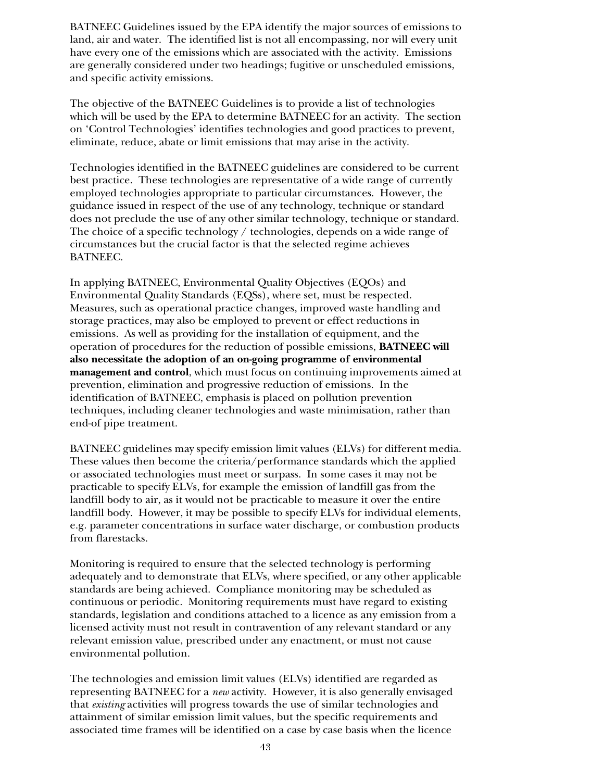BATNEEC Guidelines issued by the EPA identify the major sources of emissions to land, air and water. The identified list is not all encompassing, nor will every unit have every one of the emissions which are associated with the activity. Emissions are generally considered under two headings; fugitive or unscheduled emissions, and specific activity emissions.

The objective of the BATNEEC Guidelines is to provide a list of technologies which will be used by the EPA to determine BATNEEC for an activity. The section on 'Control Technologies' identifies technologies and good practices to prevent, eliminate, reduce, abate or limit emissions that may arise in the activity.

Technologies identified in the BATNEEC guidelines are considered to be current best practice. These technologies are representative of a wide range of currently employed technologies appropriate to particular circumstances. However, the guidance issued in respect of the use of any technology, technique or standard does not preclude the use of any other similar technology, technique or standard. The choice of a specific technology / technologies, depends on a wide range of circumstances but the crucial factor is that the selected regime achieves BATNEEC.

In applying BATNEEC, Environmental Quality Objectives (EQOs) and Environmental Quality Standards (EQSs), where set, must be respected. Measures, such as operational practice changes, improved waste handling and storage practices, may also be employed to prevent or effect reductions in emissions. As well as providing for the installation of equipment, and the operation of procedures for the reduction of possible emissions, **BATNEEC will also necessitate the adoption of an on-going programme of environmental management and control**, which must focus on continuing improvements aimed at prevention, elimination and progressive reduction of emissions. In the identification of BATNEEC, emphasis is placed on pollution prevention techniques, including cleaner technologies and waste minimisation, rather than end-of pipe treatment.

BATNEEC guidelines may specify emission limit values (ELVs) for different media. These values then become the criteria/performance standards which the applied or associated technologies must meet or surpass. In some cases it may not be practicable to specify ELVs, for example the emission of landfill gas from the landfill body to air, as it would not be practicable to measure it over the entire landfill body. However, it may be possible to specify ELVs for individual elements, e.g. parameter concentrations in surface water discharge, or combustion products from flarestacks.

Monitoring is required to ensure that the selected technology is performing adequately and to demonstrate that ELVs, where specified, or any other applicable standards are being achieved. Compliance monitoring may be scheduled as continuous or periodic. Monitoring requirements must have regard to existing standards, legislation and conditions attached to a licence as any emission from a licensed activity must not result in contravention of any relevant standard or any relevant emission value, prescribed under any enactment, or must not cause environmental pollution.

The technologies and emission limit values (ELVs) identified are regarded as representing BATNEEC for a *new* activity. However, it is also generally envisaged that *existing* activities will progress towards the use of similar technologies and attainment of similar emission limit values, but the specific requirements and associated time frames will be identified on a case by case basis when the licence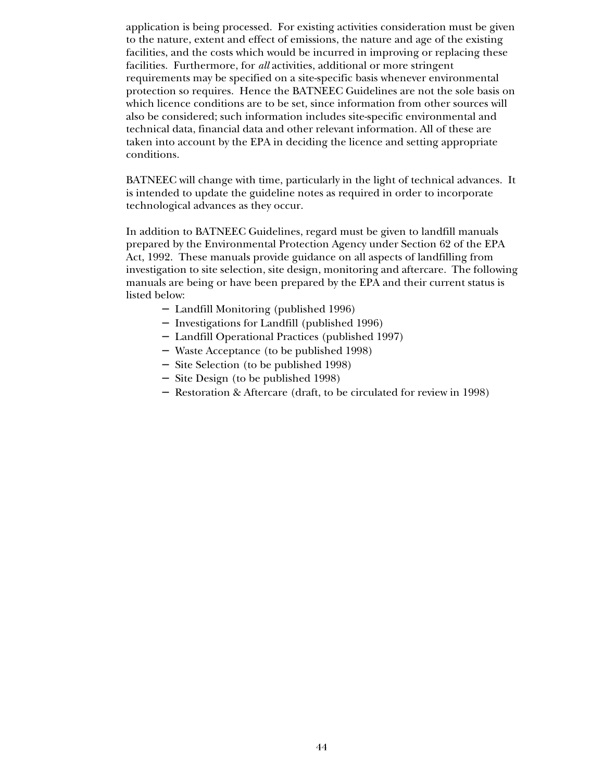application is being processed. For existing activities consideration must be given to the nature, extent and effect of emissions, the nature and age of the existing facilities, and the costs which would be incurred in improving or replacing these facilities. Furthermore, for *all* activities, additional or more stringent requirements may be specified on a site-specific basis whenever environmental protection so requires. Hence the BATNEEC Guidelines are not the sole basis on which licence conditions are to be set, since information from other sources will also be considered; such information includes site-specific environmental and technical data, financial data and other relevant information. All of these are taken into account by the EPA in deciding the licence and setting appropriate conditions.

BATNEEC will change with time, particularly in the light of technical advances. It is intended to update the guideline notes as required in order to incorporate technological advances as they occur.

In addition to BATNEEC Guidelines, regard must be given to landfill manuals prepared by the Environmental Protection Agency under Section 62 of the EPA Act, 1992. These manuals provide guidance on all aspects of landfilling from investigation to site selection, site design, monitoring and aftercare. The following manuals are being or have been prepared by the EPA and their current status is listed below:

- − Landfill Monitoring (published 1996)
- − Investigations for Landfill (published 1996)
- − Landfill Operational Practices (published 1997)
- − Waste Acceptance (to be published 1998)
- − Site Selection (to be published 1998)
- − Site Design (to be published 1998)
- − Restoration & Aftercare (draft, to be circulated for review in 1998)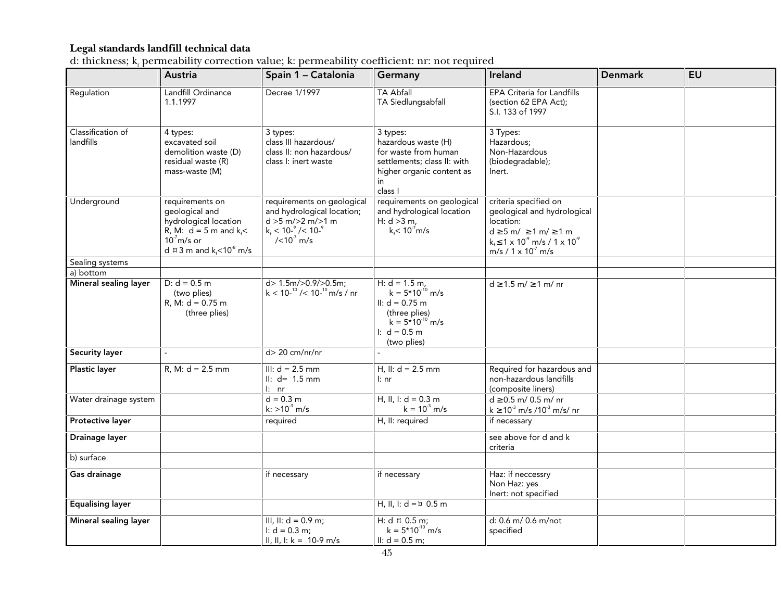# **Legal standards landfill technical data**

| d: thickness; $k_{\epsilon}$ permeability correction value; k: permeability coefficient: nr: not required |  |  |
|-----------------------------------------------------------------------------------------------------------|--|--|
|                                                                                                           |  |  |

|                                | Austria                                                                                                                                                                     | Spain 1 - Catalonia                                                                                                                                                | Germany                                                                                                                               | Ireland                                                                                                                                                                                      | <b>Denmark</b> | <b>EU</b> |
|--------------------------------|-----------------------------------------------------------------------------------------------------------------------------------------------------------------------------|--------------------------------------------------------------------------------------------------------------------------------------------------------------------|---------------------------------------------------------------------------------------------------------------------------------------|----------------------------------------------------------------------------------------------------------------------------------------------------------------------------------------------|----------------|-----------|
| Regulation                     | Landfill Ordinance<br>1.1.1997                                                                                                                                              | Decree 1/1997                                                                                                                                                      | <b>TA Abfall</b><br>TA Siedlungsabfall                                                                                                | EPA Criteria for Landfills<br>(section 62 EPA Act);<br>S.I. 133 of 1997                                                                                                                      |                |           |
| Classification of<br>landfills | 4 types:<br>excavated soil<br>demolition waste (D)<br>residual waste (R)<br>mass-waste (M)                                                                                  | 3 types:<br>class III hazardous/<br>class II: non hazardous/<br>class I: inert waste                                                                               | 3 types:<br>hazardous waste (H)<br>for waste from human<br>settlements; class II: with<br>higher organic content as<br>in<br>class I  | 3 Types:<br>Hazardous;<br>Non-Hazardous<br>(biodegradable);<br>lnert.                                                                                                                        |                |           |
| Underground                    | requirements on<br>geological and<br>hydrological location<br>R, M: $d = 5$ m and $k_f$ <<br>$107$ m/s or<br>d $\overline{u}$ 3 m and k <sub>f</sub> < 10 <sup>-8</sup> m/s | requirements on geological<br>and hydrological location;<br>$d > 5$ m/ $> 2$ m/ $> 1$ m<br>$k_{\rm f}$ < 10- $\degree$ /< 10- $\degree$<br>$/(10^{7} \text{ m/s})$ | requirements on geological<br>and hydrological location<br>H: $d > 3 m$ ,<br>$k_f$ < 10 <sup>-7</sup> m/s                             | criteria specified on<br>geological and hydrological<br>location:<br>$d \ge 5$ m/ $\ge 1$ m/ $\ge 1$ m<br>$k_1 \leq 1 \times 10^{-9}$ m/s / 1 x 10 <sup>9</sup><br>$m/s / 1 \times 10^7 m/s$ |                |           |
| Sealing systems                |                                                                                                                                                                             |                                                                                                                                                                    |                                                                                                                                       |                                                                                                                                                                                              |                |           |
| a) bottom                      |                                                                                                                                                                             |                                                                                                                                                                    |                                                                                                                                       |                                                                                                                                                                                              |                |           |
| Mineral sealing layer          | $D: d = 0.5 m$<br>(two plies)<br>$R, M: d = 0.75 m$<br>(three plies)                                                                                                        | d> 1.5m/>0.9/>0.5m;<br>$k < 10^{-10}$ / < 10- $^{10}$ m/s / nr                                                                                                     | H: $d = 1.5$ m,<br>$k = 5*10^{-10}$ m/s<br>II: $d = 0.75$ m<br>(three plies)<br>$k = 5*10^{-10}$ m/s<br>I: $d = 0.5$ m<br>(two plies) | $d \ge 1.5$ m/ $\ge 1$ m/ nr                                                                                                                                                                 |                |           |
| <b>Security layer</b>          | $\overline{\phantom{a}}$                                                                                                                                                    | $d$ > 20 cm/nr/nr                                                                                                                                                  |                                                                                                                                       |                                                                                                                                                                                              |                |           |
| Plastic layer                  | $R, M: d = 2.5$ mm                                                                                                                                                          | III: $d = 2.5$ mm<br>$\  \cdot \ _1$ d= 1.5 mm<br>$\ln$ nr                                                                                                         | H, II: $d = 2.5$ mm<br>I: nr                                                                                                          | Required for hazardous and<br>non-hazardous landfills<br>(composite liners)                                                                                                                  |                |           |
| Water drainage system          |                                                                                                                                                                             | $d = 0.3 m$<br>$k:$ >10 <sup>-3</sup> m/s                                                                                                                          | H, II, I: $d = 0.3$ m<br>$k = 10^3$ m/s                                                                                               | $d \ge 0.5$ m/ 0.5 m/ nr<br>$k \ge 10^3$ m/s /10 <sup>3</sup> m/s/ nr                                                                                                                        |                |           |
| Protective layer               |                                                                                                                                                                             | required                                                                                                                                                           | H, II: required                                                                                                                       | if necessary                                                                                                                                                                                 |                |           |
| Drainage layer                 |                                                                                                                                                                             |                                                                                                                                                                    |                                                                                                                                       | see above for d and k<br>criteria                                                                                                                                                            |                |           |
| b) surface                     |                                                                                                                                                                             |                                                                                                                                                                    |                                                                                                                                       |                                                                                                                                                                                              |                |           |
| Gas drainage                   |                                                                                                                                                                             | if necessary                                                                                                                                                       | if necessary                                                                                                                          | Haz: if neccessry<br>Non Haz: yes<br>Inert: not specified                                                                                                                                    |                |           |
| <b>Equalising layer</b>        |                                                                                                                                                                             |                                                                                                                                                                    | H, II, I: $d = \pi$ 0.5 m                                                                                                             |                                                                                                                                                                                              |                |           |
| Mineral sealing layer          |                                                                                                                                                                             | III, II: $d = 0.9$ m;<br>I: $d = 0.3$ m;<br>II, II, I: $k = 10-9$ m/s                                                                                              | H: $d \times 0.5$ m;<br>$k = 5*10^{-10}$ m/s<br>II: $d = 0.5$ m;                                                                      | d: 0.6 m/ 0.6 m/not<br>specified                                                                                                                                                             |                |           |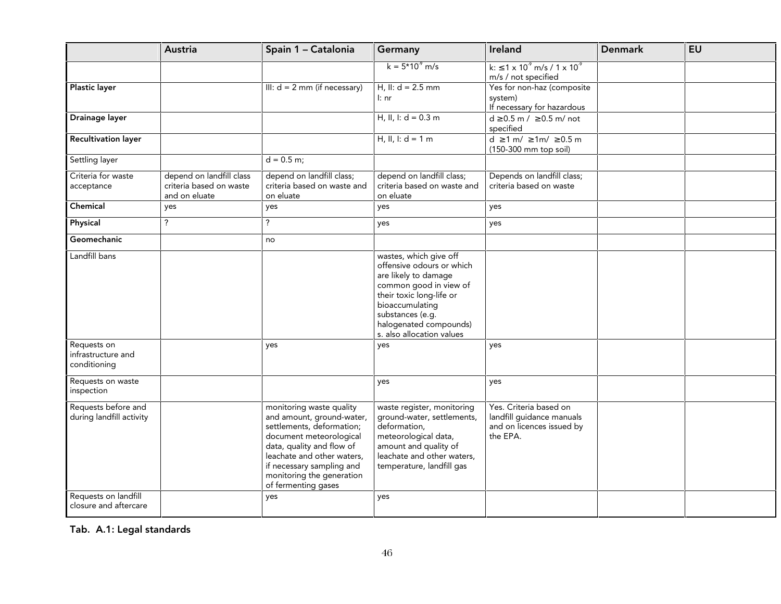|                                                   | Austria                                                              | Spain 1 - Catalonia                                                                                                                                                                                                                                       | Germany                                                                                                                                                                                                                         | Ireland                                                                                      | <b>Denmark</b> | <b>EU</b> |
|---------------------------------------------------|----------------------------------------------------------------------|-----------------------------------------------------------------------------------------------------------------------------------------------------------------------------------------------------------------------------------------------------------|---------------------------------------------------------------------------------------------------------------------------------------------------------------------------------------------------------------------------------|----------------------------------------------------------------------------------------------|----------------|-----------|
|                                                   |                                                                      |                                                                                                                                                                                                                                                           | $k = 5*10^{9}$ m/s                                                                                                                                                                                                              | $k: \leq 1 \times 10^{9}$ m/s / 1 x 10 <sup>9</sup><br>m/s / not specified                   |                |           |
| <b>Plastic layer</b>                              |                                                                      | III: $d = 2$ mm (if necessary)                                                                                                                                                                                                                            | H, II: $d = 2.5$ mm<br>l: nr                                                                                                                                                                                                    | Yes for non-haz (composite<br>system)<br>If necessary for hazardous                          |                |           |
| Drainage layer                                    |                                                                      |                                                                                                                                                                                                                                                           | H, II, I: $d = 0.3$ m                                                                                                                                                                                                           | $d \ge 0.5$ m / $\ge 0.5$ m/ not<br>specified                                                |                |           |
| <b>Recultivation layer</b>                        |                                                                      |                                                                                                                                                                                                                                                           | H, II, I: $d = 1$ m                                                                                                                                                                                                             | $d \ge 1$ m/ $\ge 1$ m/ $\ge 0.5$ m<br>(150-300 mm top soil)                                 |                |           |
| Settling layer                                    |                                                                      | $d = 0.5$ m;                                                                                                                                                                                                                                              |                                                                                                                                                                                                                                 |                                                                                              |                |           |
| Criteria for waste<br>acceptance                  | depend on landfill class<br>criteria based on waste<br>and on eluate | depend on landfill class;<br>criteria based on waste and<br>on eluate                                                                                                                                                                                     | depend on landfill class;<br>criteria based on waste and<br>on eluate                                                                                                                                                           | Depends on landfill class;<br>criteria based on waste                                        |                |           |
| Chemical                                          | yes                                                                  | yes                                                                                                                                                                                                                                                       | yes                                                                                                                                                                                                                             | yes                                                                                          |                |           |
| Physical                                          | ?                                                                    | $\overline{?}$                                                                                                                                                                                                                                            | yes                                                                                                                                                                                                                             | yes                                                                                          |                |           |
| Geomechanic                                       |                                                                      | no                                                                                                                                                                                                                                                        |                                                                                                                                                                                                                                 |                                                                                              |                |           |
| Landfill bans                                     |                                                                      |                                                                                                                                                                                                                                                           | wastes, which give off<br>offensive odours or which<br>are likely to damage<br>common good in view of<br>their toxic long-life or<br>bioaccumulating<br>substances (e.g.<br>halogenated compounds)<br>s. also allocation values |                                                                                              |                |           |
| Requests on<br>infrastructure and<br>conditioning |                                                                      | yes                                                                                                                                                                                                                                                       | yes                                                                                                                                                                                                                             | yes                                                                                          |                |           |
| Requests on waste<br>inspection                   |                                                                      |                                                                                                                                                                                                                                                           | yes                                                                                                                                                                                                                             | yes                                                                                          |                |           |
| Requests before and<br>during landfill activity   |                                                                      | monitoring waste quality<br>and amount, ground-water,<br>settlements, deformation;<br>document meteorological<br>data, quality and flow of<br>leachate and other waters,<br>if necessary sampling and<br>monitoring the generation<br>of fermenting gases | waste register, monitoring<br>ground-water, settlements,<br>deformation,<br>meteorological data,<br>amount and quality of<br>leachate and other waters,<br>temperature, landfill gas                                            | Yes. Criteria based on<br>landfill guidance manuals<br>and on licences issued by<br>the EPA. |                |           |
| Requests on landfill                              |                                                                      | yes                                                                                                                                                                                                                                                       | yes                                                                                                                                                                                                                             |                                                                                              |                |           |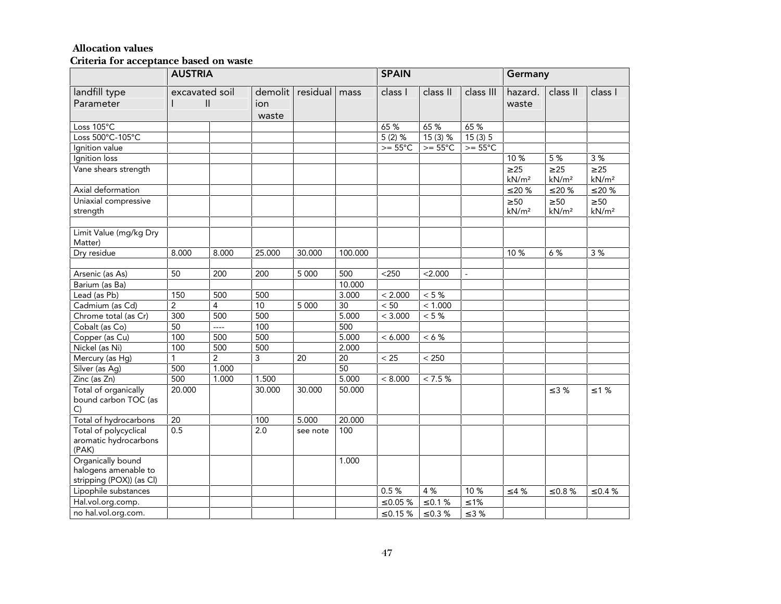#### **Allocation values**

|                                                                       | <b>AUSTRIA</b> |                                |                         | <b>SPAIN</b> |         |                   | Germany          |                   |                                |                                |                                |
|-----------------------------------------------------------------------|----------------|--------------------------------|-------------------------|--------------|---------|-------------------|------------------|-------------------|--------------------------------|--------------------------------|--------------------------------|
| landfill type<br>Parameter                                            |                | excavated soil<br>$\mathbf{I}$ | demolit<br>ion<br>waste | residual     | mass    | class I           | class II         | class III         | hazard.<br>waste               | class II                       | class I                        |
| Loss $105^{\circ}$ C                                                  |                |                                |                         |              |         | 65 %              | 65 %             | 65 %              |                                |                                |                                |
| Loss 500°C-105°C                                                      |                |                                |                         |              |         | $5(2)$ %          | $15(3)$ %        | 15(3)5            |                                |                                |                                |
| Ignition value                                                        |                |                                |                         |              |         | $>= 55^{\circ}$ C | $>= 55^{\circ}C$ | $>= 55^{\circ}$ C |                                |                                |                                |
| Ignition loss                                                         |                |                                |                         |              |         |                   |                  |                   | 10 %                           | 5%                             | 3%                             |
| Vane shears strength                                                  |                |                                |                         |              |         |                   |                  |                   | $\geq 25$<br>kN/m <sup>2</sup> | $\geq 25$<br>kN/m <sup>2</sup> | $\geq 25$<br>kN/m <sup>2</sup> |
| Axial deformation                                                     |                |                                |                         |              |         |                   |                  |                   | $≤ 20 %$                       | $≤ 20 %$                       | $\leq 20$ %                    |
| Uniaxial compressive<br>strength                                      |                |                                |                         |              |         |                   |                  |                   | $\geq 50$<br>kN/m <sup>2</sup> | $\geq 50$<br>kN/m <sup>2</sup> | $\geq 50$<br>kN/m <sup>2</sup> |
| Limit Value (mg/kg Dry<br>Matter)                                     |                |                                |                         |              |         |                   |                  |                   |                                |                                |                                |
| Dry residue                                                           | 8.000          | 8.000                          | 25.000                  | 30.000       | 100.000 |                   |                  |                   | 10 %                           | 6 %                            | 3 %                            |
|                                                                       |                |                                |                         |              |         |                   |                  |                   |                                |                                |                                |
| Arsenic (as As)                                                       | 50             | 200                            | 200                     | 5 0 0 0      | 500     | $<$ 250           | < 2.000          |                   |                                |                                |                                |
| Barium (as Ba)                                                        |                |                                |                         |              | 10.000  |                   |                  |                   |                                |                                |                                |
| Lead (as Pb)                                                          | 150            | 500                            | 500                     |              | 3.000   | < 2.000           | $< 5 \%$         |                   |                                |                                |                                |
| Cadmium (as Cd)                                                       | $\overline{2}$ | 4                              | 10                      | 5 0 0 0      | 30      | $< 50\,$          | < 1.000          |                   |                                |                                |                                |
| Chrome total (as Cr)                                                  | 300            | 500                            | 500                     |              | 5.000   | < 3.000           | $< 5 \%$         |                   |                                |                                |                                |
| Cobalt (as Co)                                                        | 50             | ----                           | 100                     |              | 500     |                   |                  |                   |                                |                                |                                |
| Copper (as Cu)                                                        | 100            | 500                            | 500                     |              | 5.000   | < 6.000           | $< 6 \%$         |                   |                                |                                |                                |
| Nickel (as Ni)                                                        | 100            | 500                            | 500                     |              | 2.000   |                   |                  |                   |                                |                                |                                |
| Mercury (as Hg)                                                       | 1              | $\overline{2}$                 | 3                       | 20           | 20      | $< 25$            | $< 250$          |                   |                                |                                |                                |
| Silver (as Ag)                                                        | 500            | 1.000                          |                         |              | 50      |                   |                  |                   |                                |                                |                                |
| Zinc (as Zn)                                                          | 500            | 1.000                          | 1.500                   |              | 5.000   | < 8.000           | < 7.5 %          |                   |                                |                                |                                |
| Total of organically<br>bound carbon TOC (as<br>C)                    | 20.000         |                                | 30.000                  | 30.000       | 50.000  |                   |                  |                   |                                | $\leq$ 3 %                     | $\leq 1$ %                     |
| Total of hydrocarbons                                                 | 20             |                                | 100                     | 5.000        | 20.000  |                   |                  |                   |                                |                                |                                |
| Total of polycyclical<br>aromatic hydrocarbons<br>(PAK)               | 0.5            |                                | 2.0                     | see note     | 100     |                   |                  |                   |                                |                                |                                |
| Organically bound<br>halogens amenable to<br>stripping (POX)) (as Cl) |                |                                |                         |              | 1.000   |                   |                  |                   |                                |                                |                                |
| Lipophile substances                                                  |                |                                |                         |              |         | 0.5%              | 4 %              | 10%               | $\leq 4$ %                     | $\leq 0.8$ %                   | $\leq 0.4$ %                   |
| Hal.vol.org.comp.                                                     |                |                                |                         |              |         | $\leq 0.05$ %     | $\leq 0.1$ %     | $≤ 1\%$           |                                |                                |                                |
| no hal.vol.org.com.                                                   |                |                                |                         |              |         | $\leq 0.15$ %     | $\leq 0.3$ %     | $\leq 3$ %        |                                |                                |                                |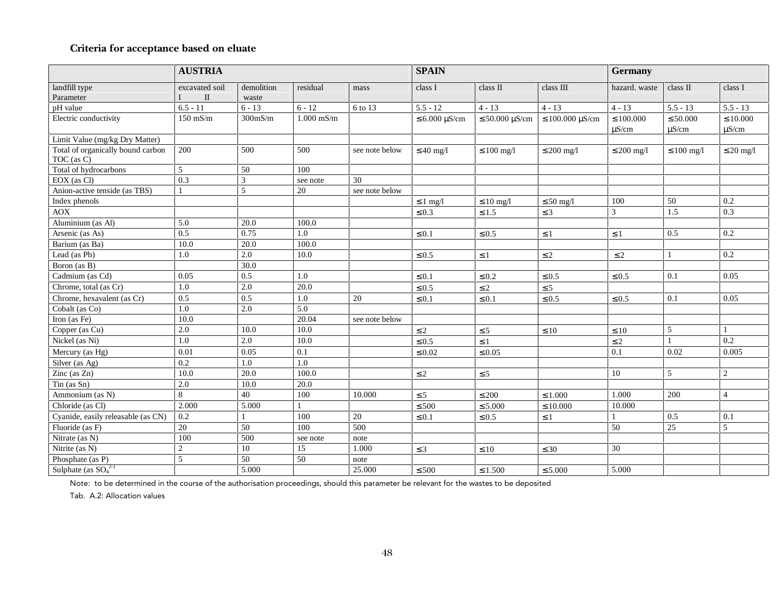# **Criteria for acceptance based on eluate**

|                                                 | <b>AUSTRIA</b>      |                     |              |                | <b>SPAIN</b>          |                        | Germany                               |                              |                             |                             |
|-------------------------------------------------|---------------------|---------------------|--------------|----------------|-----------------------|------------------------|---------------------------------------|------------------------------|-----------------------------|-----------------------------|
| landfill type<br>Parameter                      | excavated soil<br>П | demolition<br>waste | residual     | mass           | class I               | class II               | class III                             | hazard. waste                | class II                    | class I                     |
| pH value                                        | $6.5 - 11$          | $6 - 13$            | $6 - 12$     | 6 to 13        | $5.5 - 12$            | $4 - 13$               | $4 - 13$                              | $4 - 13$                     | $5.5 - 13$                  | $5.5 - 13$                  |
| Electric conductivity                           | $150$ mS/m          | $300$ m $S/m$       | $1.000$ mS/m |                | $\leq 6.000 \mu S/cm$ | $\leq 50.000 \mu S/cm$ | $\leq 100.000 \text{ }\mu\text{S/cm}$ | $\leq 100.000$<br>$\mu$ S/cm | $\leq 50.000$<br>$\mu$ S/cm | $\leq 10.000$<br>$\mu$ S/cm |
| Limit Value (mg/kg Dry Matter)                  |                     |                     |              |                |                       |                        |                                       |                              |                             |                             |
| Total of organically bound carbon<br>TOC (as C) | 200                 | 500                 | 500          | see note below | $\leq 40$ mg/l        | $\leq 100$ mg/l        | $\leq 200$ mg/l                       | $\leq 200$ mg/l              | $\leq 100$ mg/l             | $\leq 20$ mg/l              |
| Total of hydrocarbons                           | 5                   | 50                  | 100          |                |                       |                        |                                       |                              |                             |                             |
| EOX (as Cl)                                     | 0.3                 | 3                   | see note     | 30             |                       |                        |                                       |                              |                             |                             |
| Anion-active tenside (as TBS)                   |                     | 5                   | 20           | see note below |                       |                        |                                       |                              |                             |                             |
| Index phenols                                   |                     |                     |              |                | $\leq 1$ mg/l         | $\leq 10$ mg/l         | $\leq 50$ mg/l                        | 100                          | 50                          | 0.2                         |
| <b>AOX</b>                                      |                     |                     |              |                | $\leq 0.3$            | $\leq 1.5$             | $\leq 3$                              | 3                            | 1.5                         | 0.3                         |
| Aluminium (as Al)                               | 5.0                 | 20.0                | 100.0        |                |                       |                        |                                       |                              |                             |                             |
| Arsenic (as As)                                 | 0.5                 | 0.75                | 1.0          |                | $\leq 0.1$            | $\leq 0.5$             | $\leq 1$                              | $\leq 1$                     | 0.5                         | 0.2                         |
| Barium (as Ba)                                  | 10.0                | 20.0                | 100.0        |                |                       |                        |                                       |                              |                             |                             |
| Lead (as Pb)                                    | 1.0                 | 2.0                 | 10.0         |                | $\leq 0.5$            | $\leq 1$               | $\leq 2$                              | $\leq 2$                     | $\mathbf{1}$                | 0.2                         |
| Boron (as B)                                    |                     | 30.0                |              |                |                       |                        |                                       |                              |                             |                             |
| Cadmium (as Cd)                                 | 0.05                | 0.5                 | 1.0          |                | $\leq 0.1$            | $\leq 0.2$             | $\leq 0.5$                            | $\leq 0.5$                   | 0.1                         | 0.05                        |
| Chrome, total (as Cr)                           | 1.0                 | 2.0                 | 20.0         |                | $\leq 0.5$            | $\leq 2$               | $\leq 5$                              |                              |                             |                             |
| Chrome, hexavalent (as Cr)                      | 0.5                 | 0.5                 | 1.0          | 20             | $\leq 0.1$            | $\leq 0.1$             | $\leq 0.5$                            | $\leq 0.5$                   | 0.1                         | 0.05                        |
| Cobalt (as Co)                                  | 1.0                 | $\overline{2.0}$    | 5.0          |                |                       |                        |                                       |                              |                             |                             |
| Iron (as Fe)                                    | 10.0                |                     | 20.04        | see note below |                       |                        |                                       |                              |                             |                             |
| Copper (as Cu)                                  | 2.0                 | 10.0                | 10.0         |                | $\leq 2$              | $\leq 5$               | $\leq 10$                             | $\leq 10$                    | 5                           | $\mathbf{1}$                |
| Nickel (as Ni)                                  | 1.0                 | 2.0                 | 10.0         |                | $\leq 0.5$            | $\leq 1$               |                                       | $\leq 2$                     | $\mathbf{1}$                | 0.2                         |
| Mercury (as Hg)                                 | 0.01                | 0.05                | 0.1          |                | $\leq 0.02$           | $\leq 0.05$            |                                       | $\overline{0.1}$             | 0.02                        | 0.005                       |
| Silver (as Ag)                                  | 0.2                 | 1.0                 | $1.0\,$      |                |                       |                        |                                       |                              |                             |                             |
| Zinc $(as Zn)$                                  | 10.0                | 20.0                | 100.0        |                | $\leq 2$              | $\leq 5$               |                                       | 10                           | 5                           | 2                           |
| $T$ in (as Sn)                                  | 2.0                 | 10.0                | 20.0         |                |                       |                        |                                       |                              |                             |                             |
| Ammonium (as N)                                 | 8                   | 40                  | 100          | 10.000         | $\leq$ 5              | $\leq 200$             | $\leq 1.000$                          | 1.000                        | 200                         | $\overline{4}$              |
| Chloride (as Cl)                                | 2.000               | 5.000               |              |                | $\leq 500$            | $\leq 5.000$           | $\leq 10.000$                         | 10.000                       |                             |                             |
| Cyanide, easily releasable (as CN)              | 0.2                 |                     | 100          | 20             | $\leq 0.1$            | $\leq 0.5$             | $\leq 1$                              |                              | 0.5                         | 0.1                         |
| Fluoride (as F)                                 | 20                  | 50                  | 100          | 500            |                       |                        |                                       | $\overline{50}$              | $\overline{25}$             | 5                           |
| Nitrate (as N)                                  | 100                 | 500                 | see note     | note           |                       |                        |                                       |                              |                             |                             |
| Nitrite (as N)                                  | 2                   | 10                  | 15           | 1.000          | $\leq 3$              | $\leq 10$              | $\leq 30$                             | 30                           |                             |                             |
| Phosphate (as P)<br>Sulphate (as $SO42-$ )      | $\mathfrak{S}$      | 50                  | 50           | note           |                       |                        |                                       |                              |                             |                             |
|                                                 |                     | 5.000               |              | 25.000         | $\leq 500$            | $\leq 1.500$           | $\leq 5.000$                          | 5.000                        |                             |                             |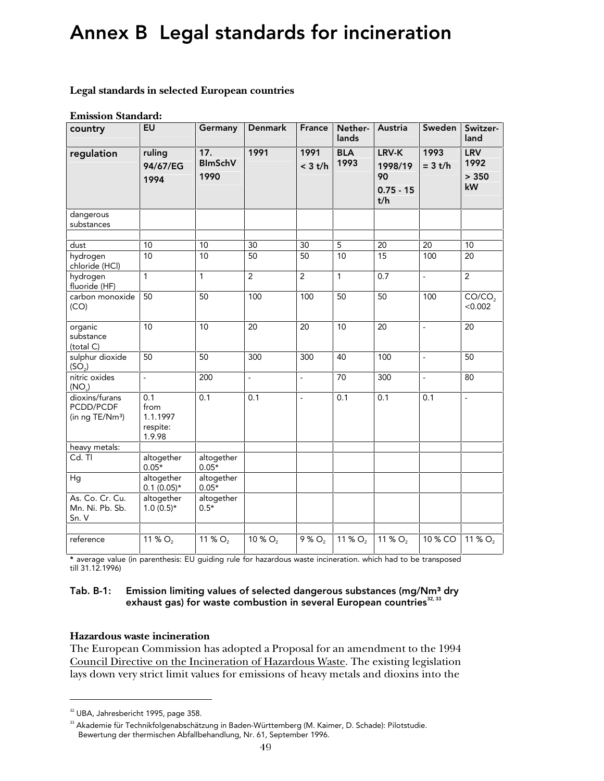# Annex B Legal standards for incineration

#### **Legal standards in selected European countries**

#### **Emission Standard:**

| country                                                    | <b>EU</b>                                     | Germany                       | <b>Denmark</b> | France                   | Nether-<br>lands   | Austria                                      | Sweden            | Switzer-<br>land                  |
|------------------------------------------------------------|-----------------------------------------------|-------------------------------|----------------|--------------------------|--------------------|----------------------------------------------|-------------------|-----------------------------------|
| regulation                                                 | ruling<br>94/67/EG<br>1994                    | 17.<br><b>BlmSchV</b><br>1990 | 1991           | 1991<br>$<$ 3 t/h        | <b>BLA</b><br>1993 | LRV-K<br>1998/19<br>90<br>$0.75 - 15$<br>t/h | 1993<br>$= 3 t/h$ | <b>LRV</b><br>1992<br>> 350<br>kW |
| dangerous<br>substances                                    |                                               |                               |                |                          |                    |                                              |                   |                                   |
| dust<br>hydrogen<br>chloride (HCl)                         | 10<br>10                                      | 10<br>10                      | 30<br>50       | 30<br>50                 | 5<br>10            | 20<br>15                                     | 20<br>100         | 10<br>20                          |
| hydrogen<br>fluoride (HF)                                  | 1                                             | 1                             | $\overline{2}$ | $\overline{2}$           | 1                  | 0.7                                          | $\overline{a}$    | $\overline{2}$                    |
| carbon monoxide<br>(CO)                                    | 50                                            | 50                            | 100            | 100                      | 50                 | 50                                           | 100               | CO/CO <sub>2</sub><br>< 0.002     |
| organic<br>substance<br>(total C)                          | 10                                            | 10                            | 20             | 20                       | 10                 | 20                                           | $\frac{1}{2}$     | 20                                |
| sulphur dioxide<br>(SO <sub>2</sub> )                      | 50                                            | 50                            | 300            | 300                      | 40                 | 100                                          | $\overline{a}$    | 50                                |
| nitric oxides<br>(NO <sub>1</sub> )                        | $\overline{a}$                                | 200                           | $\overline{a}$ | $\blacksquare$           | 70                 | 300                                          | $\frac{1}{2}$     | 80                                |
| dioxins/furans<br>PCDD/PCDF<br>(in ng TE/Nm <sup>3</sup> ) | 0.1<br>from<br>1.1.1997<br>respite:<br>1.9.98 | 0.1                           | 0.1            | $\overline{\phantom{a}}$ | 0.1                | 0.1                                          | 0.1               | $\overline{a}$                    |
| heavy metals:                                              |                                               |                               |                |                          |                    |                                              |                   |                                   |
| Cd. Tl                                                     | altogether<br>$0.05*$                         | altogether<br>$0.05*$         |                |                          |                    |                                              |                   |                                   |
| Hg                                                         | altogether<br>$0.1(0.05)*$                    | altogether<br>$0.05*$         |                |                          |                    |                                              |                   |                                   |
| As. Co. Cr. Cu.<br>Mn. Ni. Pb. Sb.<br>Sn. V                | altogether<br>$1.0(0.5)*$                     | altogether<br>$0.5*$          |                |                          |                    |                                              |                   |                                   |
| reference                                                  | 11 % $O_2$                                    | 11 % O <sub>2</sub>           | 10 % $O_2$     | $9%Q_{2}$                | 11 % $O_2$         | 11 % $O_2$                                   | 10 % CO           | 11 % $O2$                         |
|                                                            |                                               |                               |                |                          |                    |                                              |                   |                                   |

\* average value (in parenthesis: EU guiding rule for hazardous waste incineration. which had to be transposed till 31.12.1996)

#### Tab. B-1: Emission limiting values of selected dangerous substances (mg/Nm<sup>3</sup> dry exhaust gas) for waste combustion in several European countries<sup>32, 33</sup>

### **Hazardous waste incineration**

The European Commission has adopted a Proposal for an amendment to the 1994 Council Directive on the Incineration of Hazardous Waste. The existing legislation lays down very strict limit values for emissions of heavy metals and dioxins into the

1

<sup>&</sup>lt;sup>32</sup> UBA, Jahresbericht 1995, page 358.

<sup>33</sup> Akademie für Technikfolgenabschätzung in Baden-Württemberg (M. Kaimer, D. Schade): Pilotstudie. Bewertung der thermischen Abfallbehandlung, Nr. 61, September 1996.